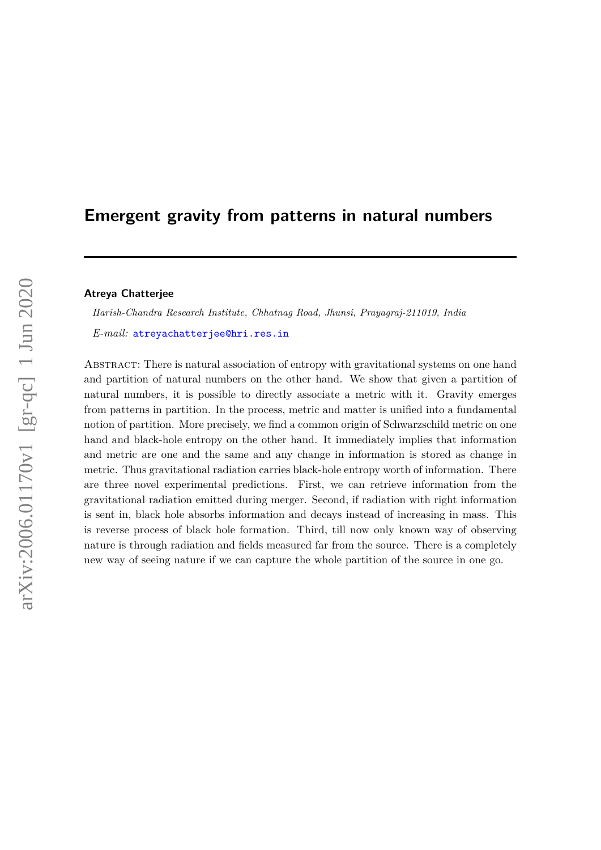# **Emergent gravity from patterns in natural numbers**

## **Atreya Chatterjee**

*Harish-Chandra Research Institute, Chhatnag Road, Jhunsi, Prayagraj-211019, India*

*E-mail:* [atreyachatterjee@hri.res.in](mailto:atreyachatterjee@hri.res.in)

Abstract: There is natural association of entropy with gravitational systems on one hand and partition of natural numbers on the other hand. We show that given a partition of natural numbers, it is possible to directly associate a metric with it. Gravity emerges from patterns in partition. In the process, metric and matter is unified into a fundamental notion of partition. More precisely, we find a common origin of Schwarzschild metric on one hand and black-hole entropy on the other hand. It immediately implies that information and metric are one and the same and any change in information is stored as change in metric. Thus gravitational radiation carries black-hole entropy worth of information. There are three novel experimental predictions. First, we can retrieve information from the gravitational radiation emitted during merger. Second, if radiation with right information is sent in, black hole absorbs information and decays instead of increasing in mass. This is reverse process of black hole formation. Third, till now only known way of observing nature is through radiation and fields measured far from the source. There is a completely new way of seeing nature if we can capture the whole partition of the source in one go.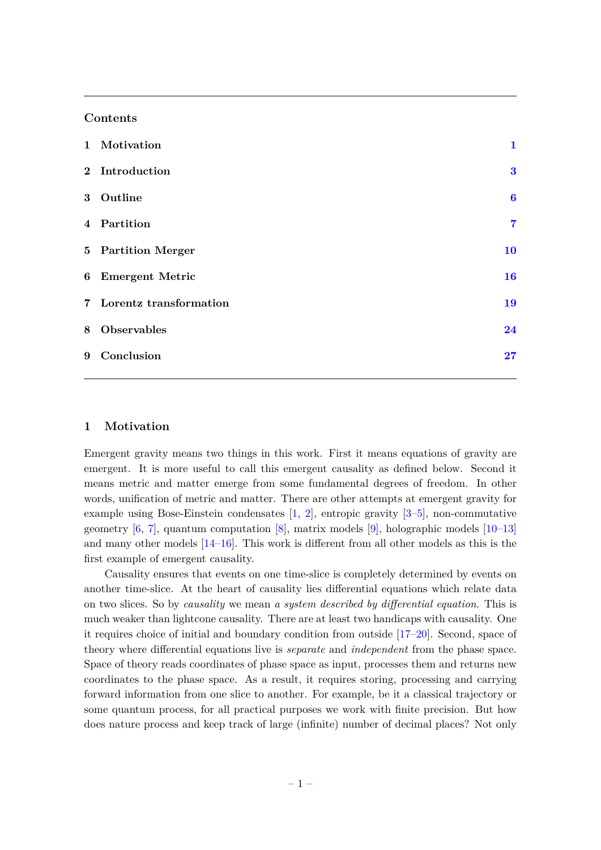#### **Contents**

| 1 Motivation             | $\mathbf{1}$     |
|--------------------------|------------------|
| 2 Introduction           | $\bf{3}$         |
| 3 Outline                | $\boldsymbol{6}$ |
| 4 Partition              | $\overline{7}$   |
| 5 Partition Merger       | 10               |
| 6 Emergent Metric        | 16               |
| 7 Lorentz transformation | 19               |
| 8 Observables            | 24               |
| 9 Conclusion             | 27               |

#### <span id="page-1-0"></span>**1 Motivation**

Emergent gravity means two things in this work. First it means equations of gravity are emergent. It is more useful to call this emergent causality as defined below. Second it means metric and matter emerge from some fundamental degrees of freedom. In other words, unification of metric and matter. There are other attempts at emergent gravity for example using Bose-Einstein condensates [\[1,](#page-30-0) [2\]](#page-30-1), entropic gravity [\[3–](#page-30-2)[5\]](#page-30-3), non-commutative geometry  $[6, 7]$  $[6, 7]$  $[6, 7]$ , quantum computation  $[8]$ , matrix models  $[9]$ , holographic models  $[10-13]$  $[10-13]$ and many other models [\[14–](#page-31-6)[16\]](#page-31-7). This work is different from all other models as this is the first example of emergent causality.

Causality ensures that events on one time-slice is completely determined by events on another time-slice. At the heart of causality lies differential equations which relate data on two slices. So by *causality* we mean *a system described by differential equation*. This is much weaker than lightcone causality. There are at least two handicaps with causality. One it requires choice of initial and boundary condition from outside [\[17–](#page-31-8)[20\]](#page-31-9). Second, space of theory where differential equations live is *separate* and *independent* from the phase space. Space of theory reads coordinates of phase space as input, processes them and returns new coordinates to the phase space. As a result, it requires storing, processing and carrying forward information from one slice to another. For example, be it a classical trajectory or some quantum process, for all practical purposes we work with finite precision. But how does nature process and keep track of large (infinite) number of decimal places? Not only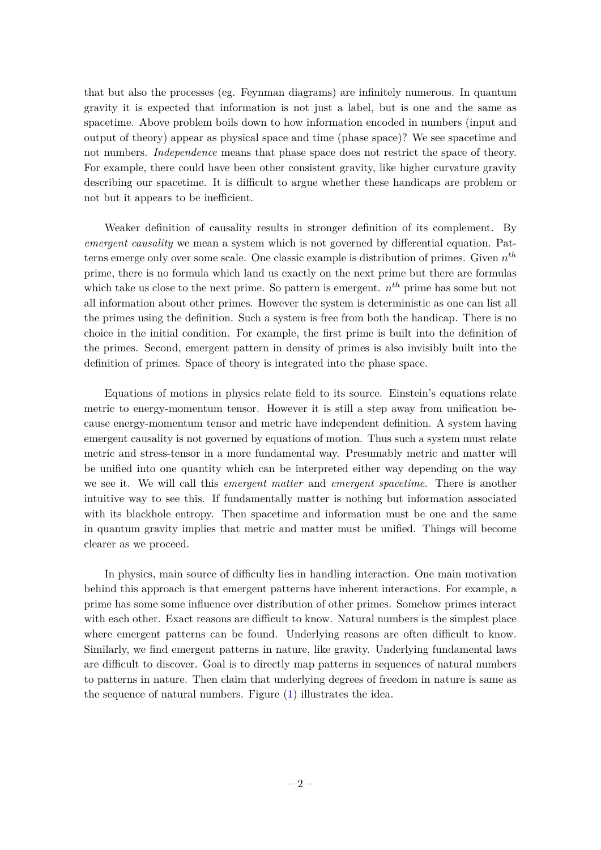that but also the processes (eg. Feynman diagrams) are infinitely numerous. In quantum gravity it is expected that information is not just a label, but is one and the same as spacetime. Above problem boils down to how information encoded in numbers (input and output of theory) appear as physical space and time (phase space)? We see spacetime and not numbers. *Independence* means that phase space does not restrict the space of theory. For example, there could have been other consistent gravity, like higher curvature gravity describing our spacetime. It is difficult to argue whether these handicaps are problem or not but it appears to be inefficient.

Weaker definition of causality results in stronger definition of its complement. By *emergent causality* we mean a system which is not governed by differential equation. Patterns emerge only over some scale. One classic example is distribution of primes. Given *n th* prime, there is no formula which land us exactly on the next prime but there are formulas which take us close to the next prime. So pattern is emergent. *n th* prime has some but not all information about other primes. However the system is deterministic as one can list all the primes using the definition. Such a system is free from both the handicap. There is no choice in the initial condition. For example, the first prime is built into the definition of the primes. Second, emergent pattern in density of primes is also invisibly built into the definition of primes. Space of theory is integrated into the phase space.

Equations of motions in physics relate field to its source. Einstein's equations relate metric to energy-momentum tensor. However it is still a step away from unification because energy-momentum tensor and metric have independent definition. A system having emergent causality is not governed by equations of motion. Thus such a system must relate metric and stress-tensor in a more fundamental way. Presumably metric and matter will be unified into one quantity which can be interpreted either way depending on the way we see it. We will call this *emergent matter* and *emergent spacetime*. There is another intuitive way to see this. If fundamentally matter is nothing but information associated with its blackhole entropy. Then spacetime and information must be one and the same in quantum gravity implies that metric and matter must be unified. Things will become clearer as we proceed.

In physics, main source of difficulty lies in handling interaction. One main motivation behind this approach is that emergent patterns have inherent interactions. For example, a prime has some some influence over distribution of other primes. Somehow primes interact with each other. Exact reasons are difficult to know. Natural numbers is the simplest place where emergent patterns can be found. Underlying reasons are often difficult to know. Similarly, we find emergent patterns in nature, like gravity. Underlying fundamental laws are difficult to discover. Goal is to directly map patterns in sequences of natural numbers to patterns in nature. Then claim that underlying degrees of freedom in nature is same as the sequence of natural numbers. Figure [\(1\)](#page-3-1) illustrates the idea.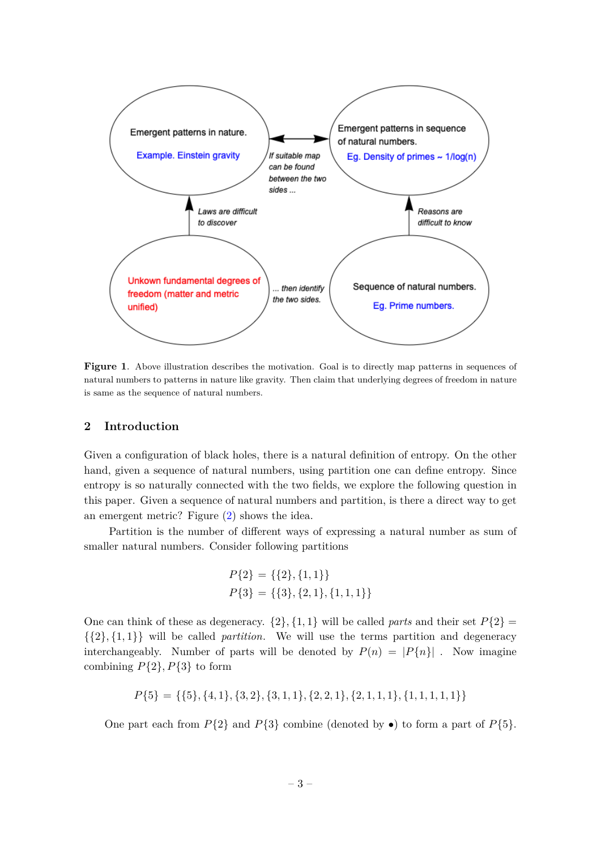

<span id="page-3-1"></span>**Figure 1.** Above illustration describes the motivation. Goal is to directly map patterns in sequences of natural numbers to patterns in nature like gravity. Then claim that underlying degrees of freedom in nature is same as the sequence of natural numbers.

## <span id="page-3-0"></span>**2 Introduction**

Given a configuration of black holes, there is a natural definition of entropy. On the other hand, given a sequence of natural numbers, using partition one can define entropy. Since entropy is so naturally connected with the two fields, we explore the following question in this paper. Given a sequence of natural numbers and partition, is there a direct way to get an emergent metric? Figure [\(2\)](#page-4-0) shows the idea.

Partition is the number of different ways of expressing a natural number as sum of smaller natural numbers. Consider following partitions

$$
P{2} = {2}, {1, 1}
$$
  

$$
P{3} = {3}, {2, 1}, {1, 1, 1}
$$

One can think of these as degeneracy.  $\{2\}, \{1, 1\}$  will be called *parts* and their set  $P\{2\}$  $\{\{2\},\{1,1\}\}\$  will be called *partition*. We will use the terms partition and degeneracy interchangeably. Number of parts will be denoted by  $P(n) = |P{n}|$ . Now imagine combining  $P{2}$ *, P*{3} to form

$$
P{5} = { {5}, {4, 1}, {3, 2}, {3, 1, 1}, {2, 2, 1}, {2, 1, 1, 1}, {1, 1, 1, 1, 1} }
$$

One part each from  $P{2}$  and  $P{3}$  combine (denoted by  $\bullet$ ) to form a part of  $P{5}$ .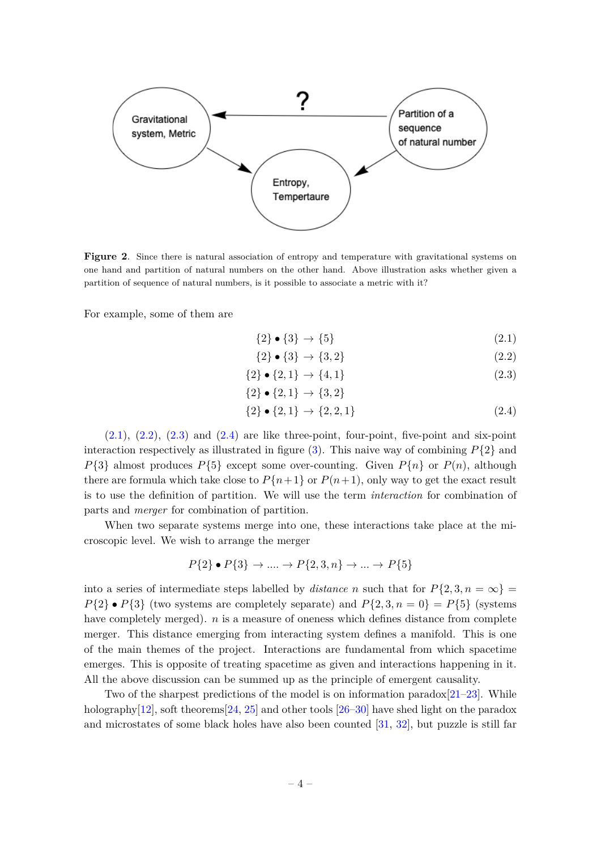

<span id="page-4-0"></span>**Figure 2**. Since there is natural association of entropy and temperature with gravitational systems on one hand and partition of natural numbers on the other hand. Above illustration asks whether given a partition of sequence of natural numbers, is it possible to associate a metric with it?

For example, some of them are

<span id="page-4-1"></span>
$$
\{2\} \bullet \{3\} \to \{5\} \tag{2.1}
$$

$$
\{2\} \bullet \{3\} \to \{3, 2\} \tag{2.2}
$$

$$
\{2\} \bullet \{2, 1\} \to \{4, 1\} \tag{2.3}
$$

$$
\{2\} \bullet \{2, 1\} \to \{3, 2\}
$$

$$
\{2\} \bullet \{2, 1\} \to \{2, 2, 1\} \tag{2.4}
$$

 $(2.1), (2.2), (2.3)$  $(2.1), (2.2), (2.3)$  $(2.1), (2.2), (2.3)$  $(2.1), (2.2), (2.3)$  $(2.1), (2.2), (2.3)$  and  $(2.4)$  are like three-point, four-point, five-point and six-point interaction respectively as illustrated in figure [\(3\)](#page-5-0). This naive way of combining  $P\{2\}$  and  $P{3}$  almost produces  $P{5}$  except some over-counting. Given  $P{n}$  or  $P(n)$ , although there are formula which take close to  $P{n+1}$  or  $P(n+1)$ , only way to get the exact result is to use the definition of partition. We will use the term *interaction* for combination of parts and *merger* for combination of partition.

When two separate systems merge into one, these interactions take place at the microscopic level. We wish to arrange the merger

$$
P{2} \bullet P{3} \rightarrow \dots \rightarrow P{2,3,n} \rightarrow \dots \rightarrow P{5}
$$

into a series of intermediate steps labelled by *distance n* such that for  $P\{2, 3, n = \infty\}$  $P{2} \bullet P{3}$  (two systems are completely separate) and  $P{2, 3, n = 0} = P{5}$  (systems have completely merged). *n* is a measure of oneness which defines distance from complete merger. This distance emerging from interacting system defines a manifold. This is one of the main themes of the project. Interactions are fundamental from which spacetime emerges. This is opposite of treating spacetime as given and interactions happening in it. All the above discussion can be summed up as the principle of emergent causality.

Two of the sharpest predictions of the model is on information paradox $[21-23]$  $[21-23]$ . While holography[\[12\]](#page-31-12), soft theorems[\[24,](#page-31-13) [25\]](#page-31-14) and other tools [\[26–](#page-31-15)[30\]](#page-32-0) have shed light on the paradox and microstates of some black holes have also been counted [\[31,](#page-32-1) [32\]](#page-32-2), but puzzle is still far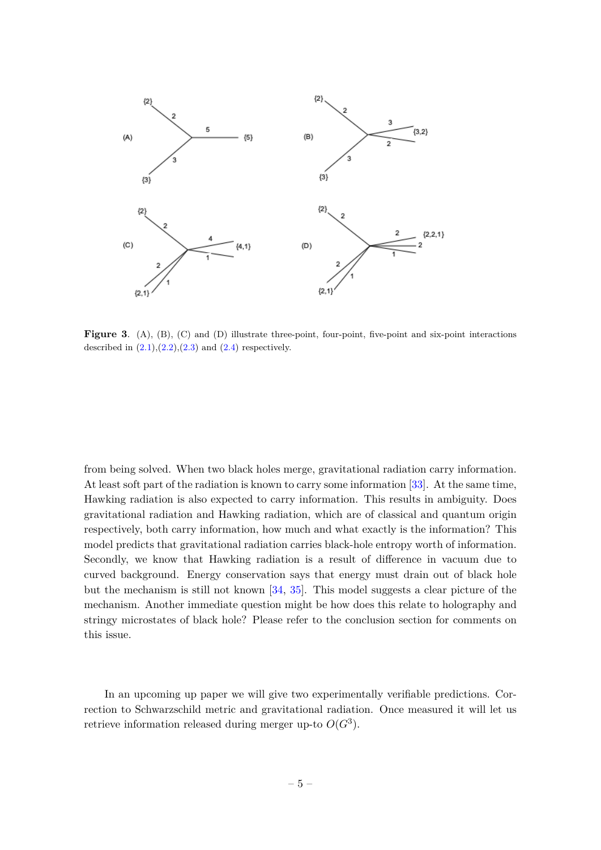

<span id="page-5-0"></span>Figure 3. (A), (B), (C) and (D) illustrate three-point, four-point, five-point and six-point interactions described in  $(2.1),(2.2),(2.3)$  $(2.1),(2.2),(2.3)$  $(2.1),(2.2),(2.3)$  $(2.1),(2.2),(2.3)$  $(2.1),(2.2),(2.3)$  and  $(2.4)$  respectively.

from being solved. When two black holes merge, gravitational radiation carry information. At least soft part of the radiation is known to carry some information [\[33\]](#page-32-3). At the same time, Hawking radiation is also expected to carry information. This results in ambiguity. Does gravitational radiation and Hawking radiation, which are of classical and quantum origin respectively, both carry information, how much and what exactly is the information? This model predicts that gravitational radiation carries black-hole entropy worth of information. Secondly, we know that Hawking radiation is a result of difference in vacuum due to curved background. Energy conservation says that energy must drain out of black hole but the mechanism is still not known [\[34,](#page-32-4) [35\]](#page-32-5). This model suggests a clear picture of the mechanism. Another immediate question might be how does this relate to holography and stringy microstates of black hole? Please refer to the conclusion section for comments on this issue.

In an upcoming up paper we will give two experimentally verifiable predictions. Correction to Schwarzschild metric and gravitational radiation. Once measured it will let us retrieve information released during merger up-to  $O(G^3)$ .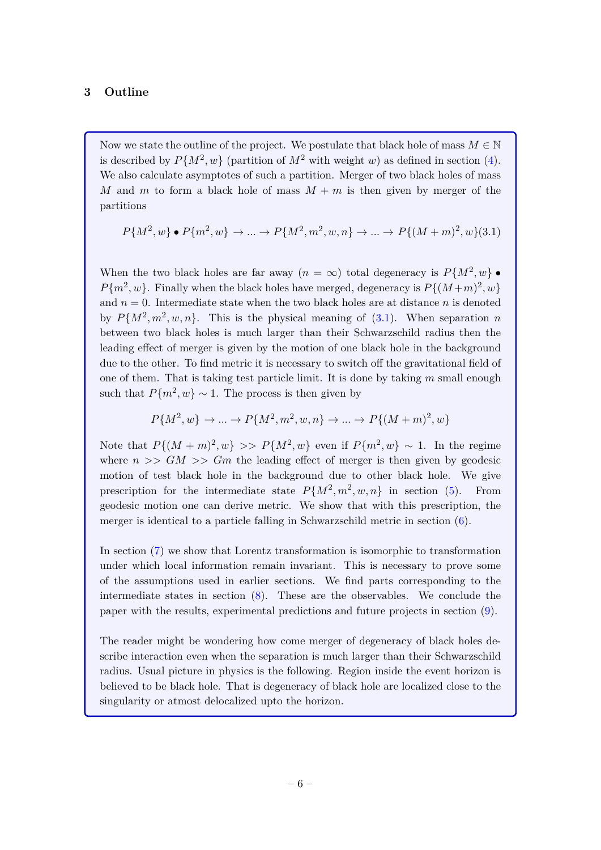# <span id="page-6-0"></span>**3 Outline**

Now we state the outline of the project. We postulate that black hole of mass  $M \in \mathbb{N}$ is described by  $P\{M^2, w\}$  (partition of  $M^2$  with weight *w*) as defined in section [\(4\)](#page-7-0). We also calculate asymptotes of such a partition. Merger of two black holes of mass *M* and *m* to form a black hole of mass  $M + m$  is then given by merger of the partitions

<span id="page-6-1"></span>
$$
P{M^2, w} \bullet P{m^2, w} \rightarrow ... \rightarrow P{M^2, m^2, w, n} \rightarrow ... \rightarrow P{(M+m)^2, w}(3.1)
$$

When the two black holes are far away  $(n = \infty)$  total degeneracy is  $P\{M^2, w\}$ .  $P{m^2, w}$ . Finally when the black holes have merged, degeneracy is  $P{(M+m)^2, w}$ and  $n = 0$ . Intermediate state when the two black holes are at distance *n* is denoted by  $P\{M^2, m^2, w, n\}$ . This is the physical meaning of  $(3.1)$ . When separation *n* between two black holes is much larger than their Schwarzschild radius then the leading effect of merger is given by the motion of one black hole in the background due to the other. To find metric it is necessary to switch off the gravitational field of one of them. That is taking test particle limit. It is done by taking *m* small enough such that  $P{m^2, w} \sim 1$ . The process is then given by

$$
P\{M^{2}, w\} \to \dots \to P\{M^{2}, m^{2}, w, n\} \to \dots \to P\{(M+m)^{2}, w\}
$$

Note that  $P\{(M+m)^2, w\} >> P\{M^2, w\}$  even if  $P\{m^2, w\} \sim 1$ . In the regime where  $n >> GM >> Gm$  the leading effect of merger is then given by geodesic motion of test black hole in the background due to other black hole. We give prescription for the intermediate state  $P\{M^2, m^2, w, n\}$  in section [\(5\)](#page-10-0). From geodesic motion one can derive metric. We show that with this prescription, the merger is identical to a particle falling in Schwarzschild metric in section  $(6)$ .

In section [\(7\)](#page-19-0) we show that Lorentz transformation is isomorphic to transformation under which local information remain invariant. This is necessary to prove some of the assumptions used in earlier sections. We find parts corresponding to the intermediate states in section [\(8\)](#page-24-0). These are the observables. We conclude the paper with the results, experimental predictions and future projects in section [\(9\)](#page-27-0).

The reader might be wondering how come merger of degeneracy of black holes describe interaction even when the separation is much larger than their Schwarzschild radius. Usual picture in physics is the following. Region inside the event horizon is believed to be black hole. That is degeneracy of black hole are localized close to the singularity or atmost delocalized upto the horizon.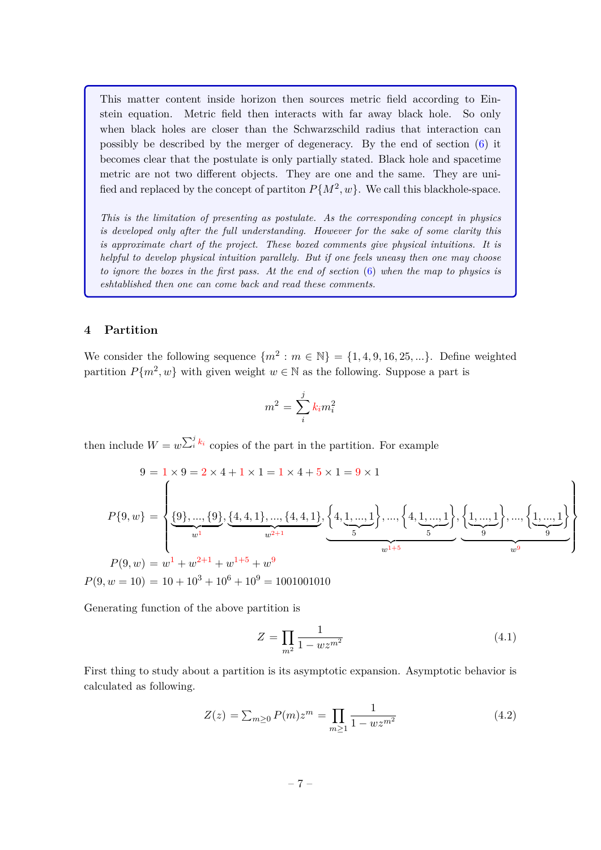This matter content inside horizon then sources metric field according to Einstein equation. Metric field then interacts with far away black hole. So only when black holes are closer than the Schwarzschild radius that interaction can possibly be described by the merger of degeneracy. By the end of section [\(6\)](#page-16-0) it becomes clear that the postulate is only partially stated. Black hole and spacetime metric are not two different objects. They are one and the same. They are unified and replaced by the concept of partiton  $P\{M^2, w\}$ . We call this blackhole-space.

*This is the limitation of presenting as postulate. As the corresponding concept in physics is developed only after the full understanding. However for the sake of some clarity this is approximate chart of the project. These boxed comments give physical intuitions. It is helpful to develop physical intuition parallely. But if one feels uneasy then one may choose to ignore the boxes in the first pass. At the end of section* [\(6\)](#page-16-0) *when the map to physics is eshtablished then one can come back and read these comments.*

## <span id="page-7-0"></span>**4 Partition**

We consider the following sequence  $\{m^2 : m \in \mathbb{N}\} = \{1, 4, 9, 16, 25, ...\}$ . Define weighted partition  $P{m^2, w}$  with given weight  $w \in \mathbb{N}$  as the following. Suppose a part is

$$
m^2 = \sum_i^j k_i m_i^2
$$

then include  $W = w^{\sum_{i}^{j} k_i}$  copies of the part in the partition. For example

$$
9 = 1 \times 9 = 2 \times 4 + 1 \times 1 = 1 \times 4 + 5 \times 1 = 9 \times 1
$$
  
\n
$$
P\{9, w\} = \left\{ \underbrace{\{9\}, ..., \{9\}, \{4, 4, 1\}, ..., \{4, 4, 1\},}_{w^{1}} \left\{ \underbrace{4, \underbrace{1, ..., 1}_{5}\right\}, ..., \left\{4, \underbrace{1, ..., 1}_{5}\right\}, \underbrace{\{1, ..., 1\}}_{w^{1+5}} \left\{ \underbrace{1, ..., 1}_{w^{9}} \right\} \right\}
$$
  
\n
$$
P(9, w) = w^{1} + w^{2+1} + w^{1+5} + w^{9}
$$

 $P(9, w = 10) = 10 + 10^3 + 10^6 + 10^9 = 1001001010$ 

Generating function of the above partition is

$$
Z = \prod_{m^2} \frac{1}{1 - wz^{m^2}}\tag{4.1}
$$

First thing to study about a partition is its asymptotic expansion. Asymptotic behavior is calculated as following.

$$
Z(z) = \sum_{m \ge 0} P(m) z^m = \prod_{m \ge 1} \frac{1}{1 - wz^{m^2}}
$$
(4.2)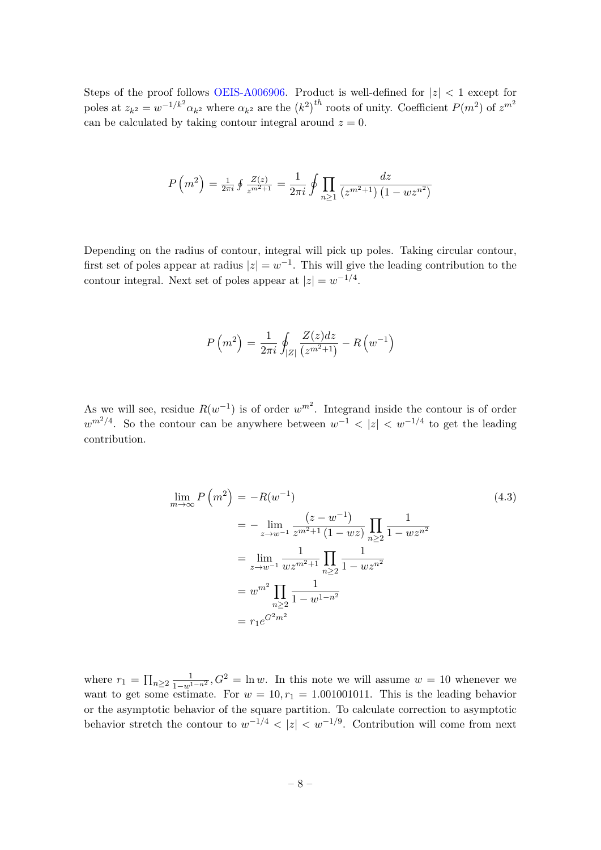Steps of the proof follows [OEIS-A006906.](https://oeis.org/A006906/a006906.txt) Product is well-defined for |*z*| *<* 1 except for poles at  $z_{k^2} = w^{-1/k^2} \alpha_{k^2}$  where  $\alpha_{k^2}$  are the  $(k^2)^{th}$  roots of unity. Coefficient  $P(m^2)$  of  $z^{m^2}$ can be calculated by taking contour integral around  $z = 0$ .

$$
P\left(m^{2}\right) = \frac{1}{2\pi i} \oint \frac{Z(z)}{z^{m^{2}+1}} = \frac{1}{2\pi i} \oint \prod_{n \geq 1} \frac{dz}{\left(z^{m^{2}+1}\right)\left(1 - wz^{n^{2}}\right)}
$$

Depending on the radius of contour, integral will pick up poles. Taking circular contour, first set of poles appear at radius  $|z| = w^{-1}$ . This will give the leading contribution to the contour integral. Next set of poles appear at  $|z| = w^{-1/4}$ .

$$
P(m^{2}) = \frac{1}{2\pi i} \oint_{|Z|} \frac{Z(z)dz}{(z^{m^{2}+1})} - R(w^{-1})
$$

As we will see, residue  $R(w^{-1})$  is of order  $w^{m^2}$ . Integrand inside the contour is of order  $w^{m^2/4}$ . So the contour can be anywhere between  $w^{-1}$  *<* |*z*| *< w*<sup>-1/4</sup> to get the leading contribution.

<span id="page-8-0"></span>
$$
\lim_{m \to \infty} P\left(m^{2}\right) = -R(w^{-1})\tag{4.3}
$$
\n
$$
= -\lim_{z \to w^{-1}} \frac{(z - w^{-1})}{z^{m^{2}+1} \left(1 - wz\right)} \prod_{n \geq 2} \frac{1}{1 - wz^{n^{2}}}
$$
\n
$$
= \lim_{z \to w^{-1}} \frac{1}{wz^{m^{2}+1}} \prod_{n \geq 2} \frac{1}{1 - wz^{n^{2}}}
$$
\n
$$
= w^{m^{2}} \prod_{n \geq 2} \frac{1}{1 - w^{1 - n^{2}}}
$$
\n
$$
= r_{1} e^{G^{2} m^{2}}
$$
\n(4.3)

where  $r_1 = \prod_{n \geq 2} \frac{1}{1-w^{1-n^2}}$ ,  $G^2 = \ln w$ . In this note we will assume  $w = 10$  whenever we want to get some estimate. For  $w = 10, r_1 = 1.001001011$ . This is the leading behavior or the asymptotic behavior of the square partition. To calculate correction to asymptotic behavior stretch the contour to  $w^{-1/4}$  <  $|z|$  <  $w^{-1/9}$ . Contribution will come from next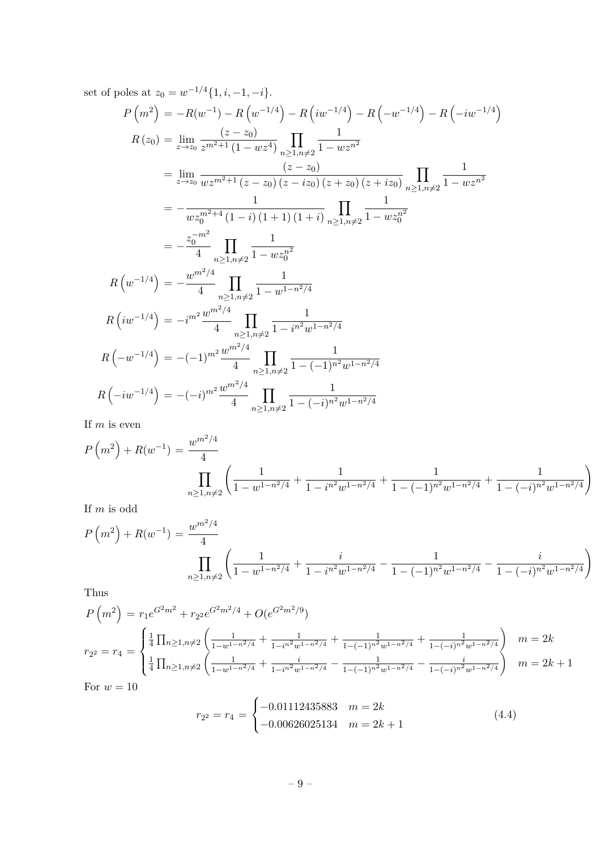set of poles at  $z_0 = w^{-1/4} \{1, i, -1, -i\}.$ 

$$
P(m^2) = -R(w^{-1}) - R(w^{-1/4}) - R(iw^{-1/4}) - R(-w^{-1/4}) - R(-iw^{-1/4})
$$
  
\n
$$
R(z_0) = \lim_{z \to z_0} \frac{(z - z_0)}{z^{m^2 + 1} (1 - wz^4)} \prod_{n \ge 1, n \ne 2} \frac{1}{1 - wz^{n^2}}
$$
  
\n
$$
= \lim_{z \to z_0} \frac{(z - z_0)}{wz^{m^2 + 1} (z - z_0) (z - iz_0) (z + z_0) (z + iz_0)} \prod_{n \ge 1, n \ne 2} \frac{1}{1 - wz^{n^2}}
$$
  
\n
$$
= -\frac{1}{wz_0^{m^2 + 4} (1 - i) (1 + 1) (1 + i)} \prod_{n \ge 1, n \ne 2} \frac{1}{1 - wz_0^{n^2}}
$$
  
\n
$$
= -\frac{z_0^{-m^2}}{4} \prod_{n \ge 1, n \ne 2} \frac{1}{1 - wz_0^{n^2}}
$$
  
\n
$$
R(w^{-1/4}) = -\frac{w^{m^2/4}}{4} \prod_{n \ge 1, n \ne 2} \frac{1}{1 - w^{1 - n^2/4}}
$$
  
\n
$$
R(w^{-1/4}) = -(1)^{m^2} \frac{w^{m^2/4}}{4} \prod_{n \ge 1, n \ne 2} \frac{1}{1 - (-1)^{n^2} w^{1 - n^2/4}}
$$
  
\n
$$
R(-w^{-1/4}) = -(-1)^{m^2} \frac{w^{m^2/4}}{4} \prod_{n \ge 1, n \ne 2} \frac{1}{1 - (-1)^{n^2} w^{1 - n^2/4}}
$$
  
\n
$$
R(-iw^{-1/4}) = -(-i)^{m^2} \frac{w^{m^2/4}}{4} \prod_{n \ge 1, n \ne 2} \frac{1}{1 - (-i)^{n^2} w^{1 - n^2/4}}
$$

If *m* is even

$$
P(m^{2}) + R(w^{-1}) = \frac{w^{m^{2}/4}}{4}
$$

$$
\prod_{n \ge 1, n \ne 2} \left( \frac{1}{1 - w^{1 - n^{2}/4}} + \frac{1}{1 - i^{n^{2}} w^{1 - n^{2}/4}} + \frac{1}{1 - (-1)^{n^{2}} w^{1 - n^{2}/4}} + \frac{1}{1 - (-i)^{n^{2}} w^{1 - n^{2}/4}} \right)
$$

If *m* is odd

$$
P(m^{2}) + R(w^{-1}) = \frac{w^{m^{2}/4}}{4}
$$

$$
\prod_{n \geq 1, n \neq 2} \left( \frac{1}{1 - w^{1 - n^{2}/4}} + \frac{i}{1 - i^{n^{2}} w^{1 - n^{2}/4}} - \frac{1}{1 - (-1)^{n^{2}} w^{1 - n^{2}/4}} - \frac{i}{1 - (-i)^{n^{2}} w^{1 - n^{2}/4}} \right)
$$

Thus

$$
P\left(m^{2}\right) = r_{1}e^{G^{2}m^{2}} + r_{2}e^{G^{2}m^{2}/4} + O(e^{G^{2}m^{2}/9})
$$
\n
$$
r_{2} = r_{4} = \begin{cases} \frac{1}{4}\prod_{n\geq 1, n\neq 2} \left(\frac{1}{1-w^{1-n^{2}/4}} + \frac{1}{1-i^{n^{2}w^{1-n^{2}/4}}} + \frac{1}{1-(-1)^{n^{2}w^{1-n^{2}/4}}} + \frac{1}{1-(-i)^{n^{2}w^{1-n^{2}/4}}} \right) & m=2k\\ \frac{1}{4}\prod_{n\geq 1, n\neq 2} \left(\frac{1}{1-w^{1-n^{2}/4}} + \frac{i}{1-i^{n^{2}w^{1-n^{2}/4}}} - \frac{1}{1-(-1)^{n^{2}w^{1-n^{2}/4}}} - \frac{i}{1-(-i)^{n^{2}w^{1-n^{2}/4}}} \right) & m=2k+1 \end{cases}
$$

For  $w = 10$ 

<span id="page-9-0"></span>
$$
r_{2^2} = r_4 = \begin{cases} -0.01112435883 & m = 2k \\ -0.00626025134 & m = 2k + 1 \end{cases}
$$
(4.4)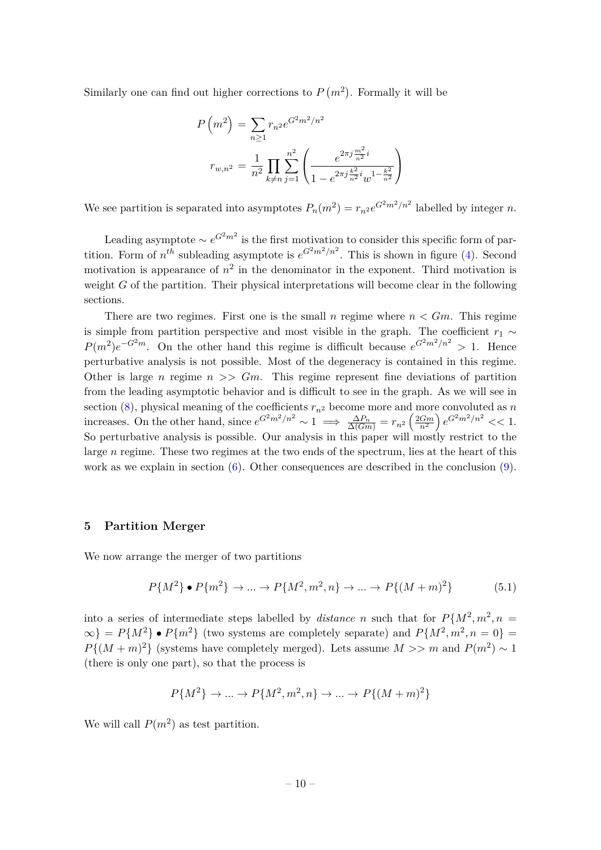Similarly one can find out higher corrections to  $P(m^2)$ . Formally it will be

$$
P(m^2) = \sum_{n\geq 1} r_{n^2} e^{G^2 m^2/n^2}
$$

$$
r_{w,n^2} = \frac{1}{n^2} \prod_{k\neq n} \sum_{j=1}^{n^2} \left( \frac{e^{2\pi j \frac{m^2}{n^2}i}}{1 - e^{2\pi j \frac{k^2}{n^2}i} w^{1 - \frac{k^2}{n^2}}} \right)
$$

We see partition is separated into asymptotes  $P_n(m^2) = r_{n^2}e^{G^2m^2/n^2}$  labelled by integer *n*.

Leading asymptote  $\sim e^{G^2 m^2}$  is the first motivation to consider this specific form of partition. Form of  $n^{th}$  subleading asymptote is  $e^{G^2 m^2/n^2}$ . This is shown in figure [\(4\)](#page-11-0). Second motivation is appearance of  $n^2$  in the denominator in the exponent. Third motivation is weight *G* of the partition. Their physical interpretations will become clear in the following sections.

There are two regimes. First one is the small *n* regime where  $n < Gm$ . This regime is simple from partition perspective and most visible in the graph. The coefficient  $r_1 \sim$  $P(m^2)e^{-G^2m}$ . On the other hand this regime is difficult because  $e^{G^2m^2/n^2} > 1$ . Hence perturbative analysis is not possible. Most of the degeneracy is contained in this regime. Other is large *n* regime  $n \geqslant$  *Gm*. This regime represent fine deviations of partition from the leading asymptotic behavior and is difficult to see in the graph. As we will see in section  $(8)$ , physical meaning of the coefficients  $r_{n^2}$  become more and more convoluted as *n* increases. On the other hand, since  $e^{G^2m^2/n^2} \sim 1 \implies \frac{\Delta P_n}{\Delta(Gm)} = r_{n^2} \left(\frac{2Gm}{n^2}\right) e^{G^2m^2/n^2} \ll 1.$ So perturbative analysis is possible. Our analysis in this paper will mostly restrict to the large *n* regime. These two regimes at the two ends of the spectrum, lies at the heart of this work as we explain in section  $(6)$ . Other consequences are described in the conclusion  $(9)$ .

#### <span id="page-10-0"></span>**5 Partition Merger**

We now arrange the merger of two partitions

<span id="page-10-1"></span>
$$
P\{M^2\} \bullet P\{m^2\} \to \dots \to P\{M^2, m^2, n\} \to \dots \to P\{(M+m)^2\} \tag{5.1}
$$

into a series of intermediate steps labelled by *distance n* such that for  $P\{M^2, m^2, n =$  $\infty$  = *P*{*M*<sup>2</sup>} • *P*{ $m$ <sup>2</sup>} (two systems are completely separate) and *P*{ $M$ <sup>2</sup>,  $m$ <sup>2</sup>,  $n = 0$ }  $P\{(M+m)^2\}$  (systems have completely merged). Lets assume  $M >> m$  and  $P(m^2) \sim 1$ (there is only one part), so that the process is

$$
P\{M^2\} \to \dots \to P\{M^2, m^2, n\} \to \dots \to P\{(M+m)^2\}
$$

We will call  $P(m^2)$  as test partition.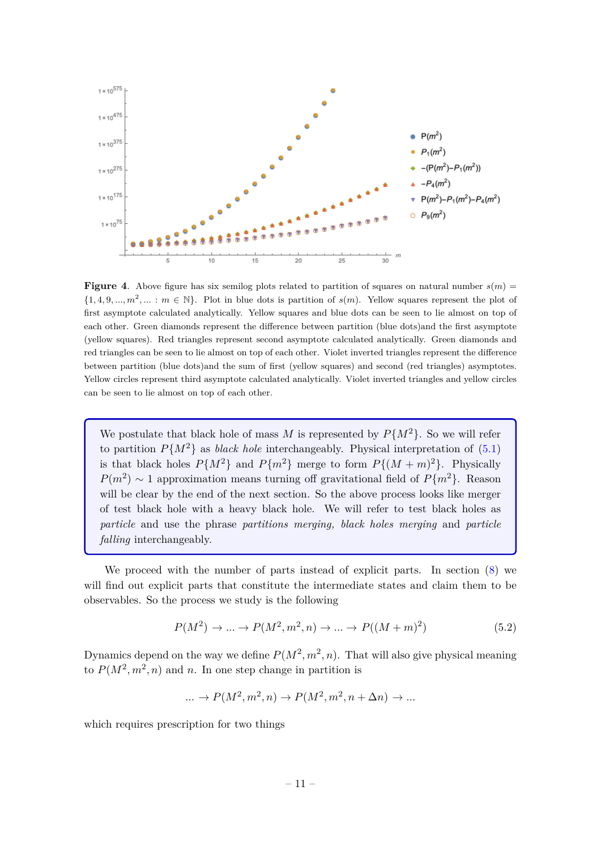

<span id="page-11-0"></span>**Figure 4.** Above figure has six semilog plots related to partition of squares on natural number  $s(m)$  =  $\{1, 4, 9, \ldots, m^2, \ldots : m \in \mathbb{N}\}\.$  Plot in blue dots is partition of  $s(m)$ . Yellow squares represent the plot of first asymptote calculated analytically. Yellow squares and blue dots can be seen to lie almost on top of each other. Green diamonds represent the difference between partition (blue dots)and the first asymptote (yellow squares). Red triangles represent second asymptote calculated analytically. Green diamonds and red triangles can be seen to lie almost on top of each other. Violet inverted triangles represent the difference between partition (blue dots)and the sum of first (yellow squares) and second (red triangles) asymptotes. Yellow circles represent third asymptote calculated analytically. Violet inverted triangles and yellow circles can be seen to lie almost on top of each other.

We postulate that black hole of mass *M* is represented by  $P\{M^2\}$ . So we will refer to partition  $P{M^2}$  as *black hole* interchangeably. Physical interpretation of [\(5.1\)](#page-10-1) is that black holes  $P{M^2}$  and  $P{m^2}$  merge to form  $P{(M + m)^2}$ . Physically  $P(m^2) \sim 1$  approximation means turning off gravitational field of  $P\{m^2\}$ . Reason will be clear by the end of the next section. So the above process looks like merger of test black hole with a heavy black hole. We will refer to test black holes as *particle* and use the phrase *partitions merging, black holes merging* and *particle falling* interchangeably.

We proceed with the number of parts instead of explicit parts. In section [\(8\)](#page-24-0) we will find out explicit parts that constitute the intermediate states and claim them to be observables. So the process we study is the following

$$
P(M^2) \to \dots \to P(M^2, m^2, n) \to \dots \to P((M+m)^2)
$$
\n(5.2)

Dynamics depend on the way we define  $P(M^2, m^2, n)$ . That will also give physical meaning to  $P(M^2, m^2, n)$  and *n*. In one step change in partition is

$$
\dots \to P(M^2, m^2, n) \to P(M^2, m^2, n + \Delta n) \to \dots
$$

which requires prescription for two things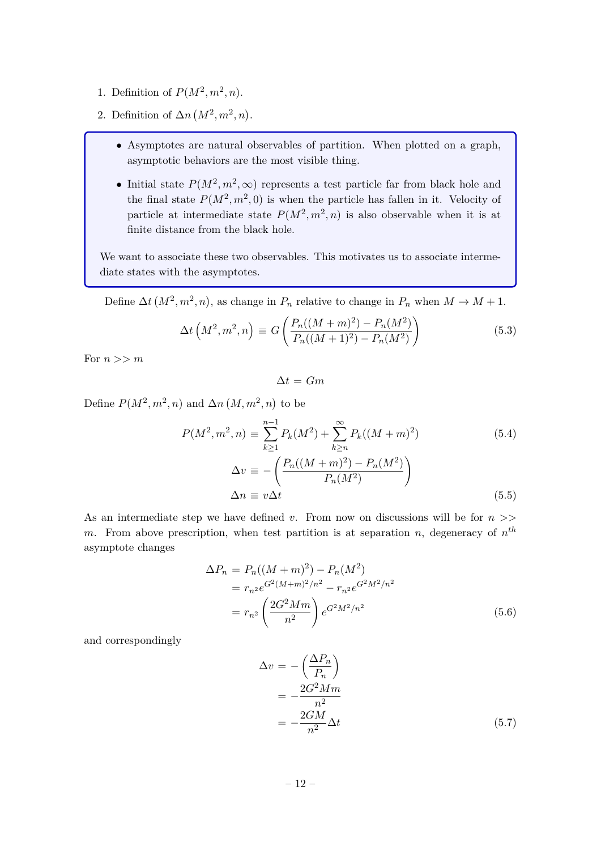- 1. Definition of  $P(M^2, m^2, n)$ .
- 2. Definition of  $\Delta n$   $(M^2, m^2, n)$ .
	- Asymptotes are natural observables of partition. When plotted on a graph, asymptotic behaviors are the most visible thing.
	- Initial state  $P(M^2, m^2, \infty)$  represents a test particle far from black hole and the final state  $P(M^2, m^2, 0)$  is when the particle has fallen in it. Velocity of particle at intermediate state  $P(M^2, m^2, n)$  is also observable when it is at finite distance from the black hole.

We want to associate these two observables. This motivates us to associate intermediate states with the asymptotes.

Define  $\Delta t$   $(M^2, m^2, n)$ , as change in  $P_n$  relative to change in  $P_n$  when  $M \to M + 1$ .

$$
\Delta t \left( M^2, m^2, n \right) \equiv G \left( \frac{P_n((M+m)^2) - P_n(M^2)}{P_n((M+1)^2) - P_n(M^2)} \right) \tag{5.3}
$$

For *n >> m*

$$
\Delta t = Gm
$$

Define  $P(M^2, m^2, n)$  and  $\Delta n$   $(M, m^2, n)$  to be

<span id="page-12-0"></span>
$$
P(M^{2}, m^{2}, n) \equiv \sum_{k \ge 1}^{n-1} P_{k}(M^{2}) + \sum_{k \ge n}^{\infty} P_{k}((M+m)^{2})
$$
(5.4)  

$$
\Delta v \equiv -\left(\frac{P_{n}((M+m)^{2}) - P_{n}(M^{2})}{P_{n}(M^{2})}\right)
$$
  

$$
\Delta n \equiv v \Delta t
$$
(5.5)

As an intermediate step we have defined *v*. From now on discussions will be for *n >> m*. From above prescription, when test partition is at separation *n*, degeneracy of *n th* asymptote changes

<span id="page-12-2"></span>
$$
\Delta P_n = P_n((M+m)^2) - P_n(M^2)
$$
  
=  $r_{n^2} e^{G^2(M+m)^2/n^2} - r_{n^2} e^{G^2 M^2/n^2}$   
=  $r_{n^2} \left(\frac{2G^2 Mm}{n^2}\right) e^{G^2 M^2/n^2}$  (5.6)

and correspondingly

<span id="page-12-1"></span>
$$
\Delta v = -\left(\frac{\Delta P_n}{P_n}\right)
$$
  
= 
$$
-\frac{2G^2 M m}{n^2}
$$
  
= 
$$
-\frac{2GM}{n^2} \Delta t
$$
 (5.7)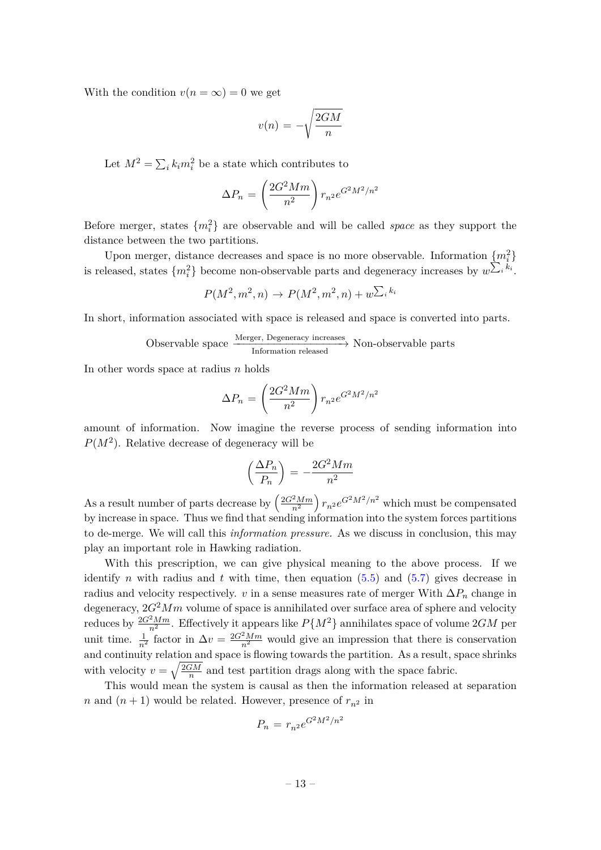With the condition  $v(n = \infty) = 0$  we get

$$
v(n) = -\sqrt{\frac{2GM}{n}}
$$

Let  $M^2 = \sum_i k_i m_i^2$  be a state which contributes to

$$
\Delta P_n = \left(\frac{2G^2 M m}{n^2}\right) r_{n^2} e^{G^2 M^2/n^2}
$$

Before merger, states {*m*<sup>2</sup> *i* } are observable and will be called *space* as they support the distance between the two partitions.

Upon merger, distance decreases and space is no more observable. Information  ${m<sub>i</sub><sup>2</sup>}$ is released, states  $\{m_i^2\}$  become non-observable parts and degeneracy increases by  $w^{\sum_i k_i}$ .

$$
P(M^2, m^2, n) \to P(M^2, m^2, n) + w^{\sum_i k_i}
$$

In short, information associated with space is released and space is converted into parts.

$$
Observeable space \xrightarrow{\text{Merger, Degeneracy increases}} \text{Non-observable parts}
$$

In other words space at radius *n* holds

$$
\Delta P_n = \left(\frac{2G^2 M m}{n^2}\right) r_{n^2} e^{G^2 M^2/n^2}
$$

amount of information. Now imagine the reverse process of sending information into  $P(M^2)$ . Relative decrease of degeneracy will be

$$
\left(\frac{\Delta P_n}{P_n}\right) = -\frac{2G^2 M m}{n^2}
$$

As a result number of parts decrease by  $\left(\frac{2G^2Mm}{n^2}\right)$  $\left(\frac{2Mm}{n^2}\right)r_{n^2}e^{G^2M^2/n^2}$  which must be compensated by increase in space. Thus we find that sending information into the system forces partitions to de-merge. We will call this *information pressure.* As we discuss in conclusion, this may play an important role in Hawking radiation.

With this prescription, we can give physical meaning to the above process. If we identify *n* with radius and *t* with time, then equation  $(5.5)$  and  $(5.7)$  gives decrease in radius and velocity respectively. *v* in a sense measures rate of merger With  $\Delta P_n$  change in degeneracy,  $2G^2Mm$  volume of space is annihilated over surface area of sphere and velocity reduces by  $\frac{2G^2Mm}{n^2}$ . Effectively it appears like  $P\{M^2\}$  annihilates space of volume  $2GM$  per unit time.  $\frac{1}{n^2}$  factor in  $\Delta v = \frac{2G^2 M m}{n^2}$  would give an impression that there is conservation and continuity relation and space is flowing towards the partition. As a result, space shrinks with velocity  $v = \sqrt{\frac{2GM}{n}}$  $\frac{GM}{n}$  and test partition drags along with the space fabric.

This would mean the system is causal as then the information released at separation *n* and  $(n + 1)$  would be related. However, presence of  $r_{n^2}$  in

$$
P_n = r_{n^2} e^{G^2 M^2 / n^2}
$$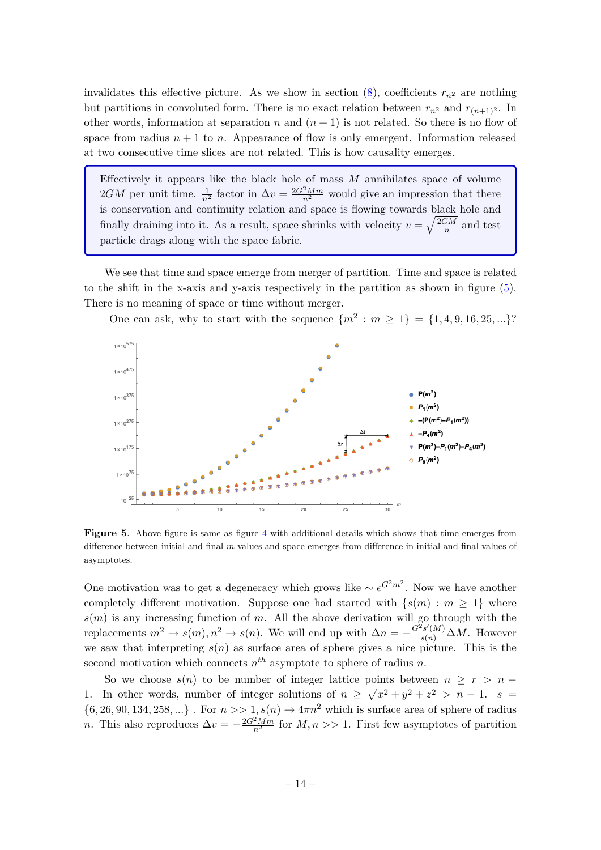invalidates this effective picture. As we show in section  $(8)$ , coefficients  $r_{n^2}$  are nothing but partitions in convoluted form. There is no exact relation between  $r_{n^2}$  and  $r_{(n+1)^2}$ . In other words, information at separation *n* and  $(n + 1)$  is not related. So there is no flow of space from radius  $n + 1$  to  $n$ . Appearance of flow is only emergent. Information released at two consecutive time slices are not related. This is how causality emerges.

Effectively it appears like the black hole of mass *M* annihilates space of volume 2*GM* per unit time.  $\frac{1}{n^2}$  factor in  $\Delta v = \frac{2G^2 M m}{n^2}$  would give an impression that there is conservation and continuity relation and space is flowing towards black hole and finally draining into it. As a result, space shrinks with velocity  $v = \sqrt{\frac{2GM}{n}}$  $\frac{1}{n}$  and test particle drags along with the space fabric.

We see that time and space emerge from merger of partition. Time and space is related to the shift in the x-axis and y-axis respectively in the partition as shown in figure [\(5\)](#page-14-0). There is no meaning of space or time without merger.



One can ask, why to start with the sequence  ${m^2 : m \ge 1} = {1, 4, 9, 16, 25, ...}$ ?

<span id="page-14-0"></span>**Figure 5.** Above figure is same as figure [4](#page-11-0) with additional details which shows that time emerges from difference between initial and final *m* values and space emerges from difference in initial and final values of asymptotes.

One motivation was to get a degeneracy which grows like  $\sim e^{G^2 m^2}$ . Now we have another completely different motivation. Suppose one had started with  $\{s(m): m \geq 1\}$  where  $s(m)$  is any increasing function of *m*. All the above derivation will go through with the replacements  $m^2 \to s(m)$ ,  $n^2 \to s(n)$ . We will end up with  $\Delta n = -\frac{G^2 s'(M)}{s(n)} \Delta M$ . However we saw that interpreting  $s(n)$  as surface area of sphere gives a nice picture. This is the second motivation which connects  $n^{th}$  asymptote to sphere of radius  $n$ .

So we choose  $s(n)$  to be number of integer lattice points between  $n > r > n$  − 1. In other words, number of integer solutions of  $n \geq \sqrt{x^2 + y^2 + z^2} > n - 1$ .  $s =$  $\{6, 26, 90, 134, 258, ...\}$ . For  $n \gg 1$ ,  $s(n) \rightarrow 4\pi n^2$  which is surface area of sphere of radius *n*. This also reproduces  $\Delta v = -\frac{2G^2 M m}{n^2}$  for  $M, n >> 1$ . First few asymptotes of partition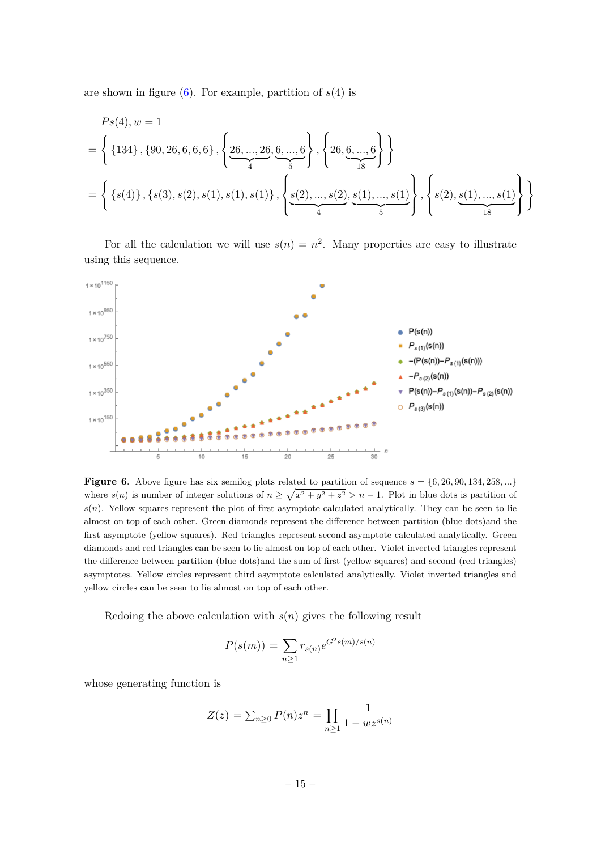are shown in figure  $(6)$ . For example, partition of  $s(4)$  is

$$
Ps(4), w = 1
$$
  
= { {134}, {90, 26, 6, 6, 6} , { 26, ..., 26, 6, ..., 6} , {26, ..., 26, 6, ..., 6} }  
= { {s(4)}, {s(3), s(2), s(1), s(1), s(1)}, { s(2), ..., s(2), s(1), ..., s(1)} , { s(2), s(1), ..., s(1)} }  
= { {s(4)}, {s(3), s(2), s(1), s(1), s(1)}, { s(2), ..., s(2), s(1), ..., s(1)} }

For all the calculation we will use  $s(n) = n^2$ . Many properties are easy to illustrate using this sequence.



<span id="page-15-0"></span>**Figure 6.** Above figure has six semilog plots related to partition of sequence  $s = \{6, 26, 90, 134, 258, ...\}$ where  $s(n)$  is number of integer solutions of  $n \geq \sqrt{x^2 + y^2 + z^2} > n - 1$ . Plot in blue dots is partition of  $s(n)$ . Yellow squares represent the plot of first asymptote calculated analytically. They can be seen to lie almost on top of each other. Green diamonds represent the difference between partition (blue dots)and the first asymptote (yellow squares). Red triangles represent second asymptote calculated analytically. Green diamonds and red triangles can be seen to lie almost on top of each other. Violet inverted triangles represent the difference between partition (blue dots)and the sum of first (yellow squares) and second (red triangles) asymptotes. Yellow circles represent third asymptote calculated analytically. Violet inverted triangles and yellow circles can be seen to lie almost on top of each other.

Redoing the above calculation with *s*(*n*) gives the following result

$$
P(s(m)) = \sum_{n\geq 1} r_{s(n)} e^{G^2 s(m)/s(n)}
$$

whose generating function is

$$
Z(z) = \sum_{n \ge 0} P(n) z^n = \prod_{n \ge 1} \frac{1}{1 - w z^{s(n)}}
$$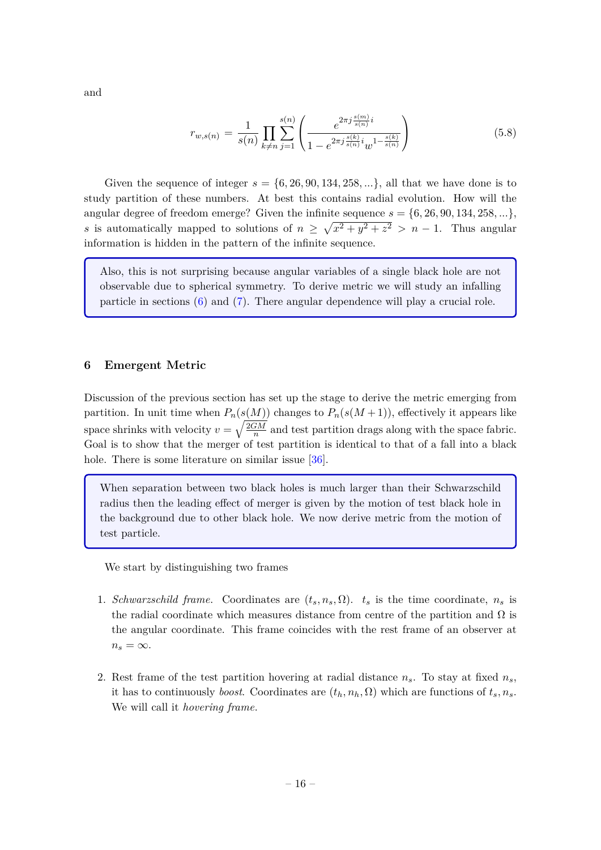and

$$
r_{w,s(n)} = \frac{1}{s(n)} \prod_{k \neq n} \sum_{j=1}^{s(n)} \left( \frac{e^{2\pi j \frac{s(m)}{s(n)} i}}{1 - e^{2\pi j \frac{s(k)}{s(n)} i} w^{1 - \frac{s(k)}{s(n)}}} \right)
$$
(5.8)

Given the sequence of integer  $s = \{6, 26, 90, 134, 258, ...\}$ , all that we have done is to study partition of these numbers. At best this contains radial evolution. How will the angular degree of freedom emerge? Given the infinite sequence  $s = \{6, 26, 90, 134, 258, ...\}$ *s* is automatically mapped to solutions of  $n \geq \sqrt{x^2 + y^2 + z^2} > n - 1$ . Thus angular information is hidden in the pattern of the infinite sequence.

Also, this is not surprising because angular variables of a single black hole are not observable due to spherical symmetry. To derive metric we will study an infalling particle in sections [\(6\)](#page-16-0) and [\(7\)](#page-19-0). There angular dependence will play a crucial role.

#### <span id="page-16-0"></span>**6 Emergent Metric**

Discussion of the previous section has set up the stage to derive the metric emerging from partition. In unit time when  $P_n(s(M))$  changes to  $P_n(s(M+1))$ , effectively it appears like space shrinks with velocity  $v = \sqrt{\frac{2GM}{n}}$  $\frac{dM}{n}$  and test partition drags along with the space fabric. Goal is to show that the merger of test partition is identical to that of a fall into a black hole. There is some literature on similar issue [\[36\]](#page-32-6).

When separation between two black holes is much larger than their Schwarzschild radius then the leading effect of merger is given by the motion of test black hole in the background due to other black hole. We now derive metric from the motion of test particle.

We start by distinguishing two frames

- 1. *Schwarzschild frame.* Coordinates are  $(t_s, n_s, \Omega)$ .  $t_s$  is the time coordinate,  $n_s$  is the radial coordinate which measures distance from centre of the partition and  $\Omega$  is the angular coordinate. This frame coincides with the rest frame of an observer at  $n_s = \infty$ .
- 2. Rest frame of the test partition hovering at radial distance  $n_s$ . To stay at fixed  $n_s$ , it has to continuously *boost*. Coordinates are  $(t_h, n_h, \Omega)$  which are functions of  $t_s, n_s$ . We will call it *hovering frame*.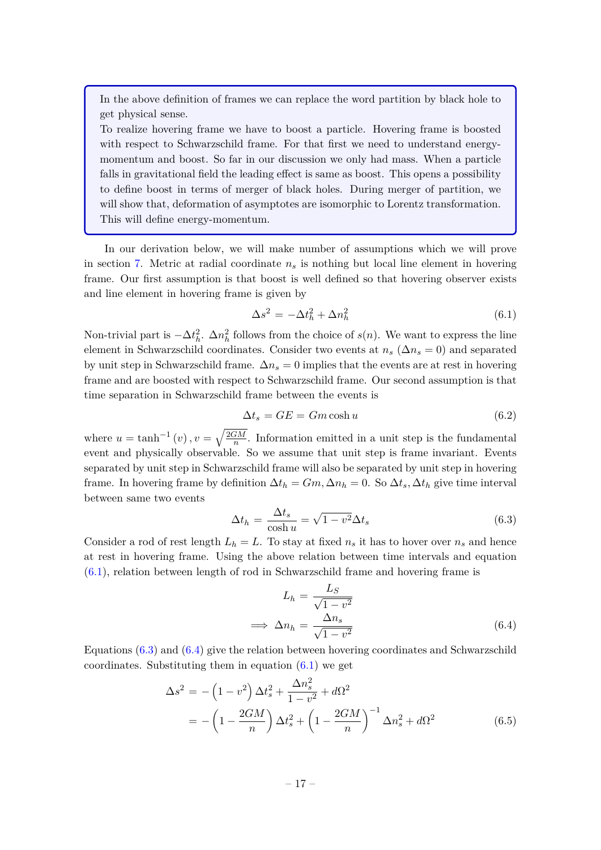In the above definition of frames we can replace the word partition by black hole to get physical sense.

To realize hovering frame we have to boost a particle. Hovering frame is boosted with respect to Schwarzschild frame. For that first we need to understand energymomentum and boost. So far in our discussion we only had mass. When a particle falls in gravitational field the leading effect is same as boost. This opens a possibility to define boost in terms of merger of black holes. During merger of partition, we will show that, deformation of asymptotes are isomorphic to Lorentz transformation. This will define energy-momentum.

In our derivation below, we will make number of assumptions which we will prove in section [7.](#page-19-0) Metric at radial coordinate  $n<sub>s</sub>$  is nothing but local line element in hovering frame. Our first assumption is that boost is well defined so that hovering observer exists and line element in hovering frame is given by

<span id="page-17-0"></span>
$$
\Delta s^2 = -\Delta t_h^2 + \Delta n_h^2 \tag{6.1}
$$

Non-trivial part is  $-\Delta t_h^2$ .  $\Delta n_h^2$  follows from the choice of *s*(*n*). We want to express the line element in Schwarzschild coordinates. Consider two events at  $n_s$  ( $\Delta n_s = 0$ ) and separated by unit step in Schwarzschild frame.  $\Delta n_s = 0$  implies that the events are at rest in hovering frame and are boosted with respect to Schwarzschild frame. Our second assumption is that time separation in Schwarzschild frame between the events is

<span id="page-17-3"></span>
$$
\Delta t_s = GE = Gm \cosh u \tag{6.2}
$$

where  $u = \tanh^{-1}(v)$ ,  $v = \sqrt{\frac{2GM}{n}}$  $\frac{1}{n}$ . Information emitted in a unit step is the fundamental event and physically observable. So we assume that unit step is frame invariant. Events separated by unit step in Schwarzschild frame will also be separated by unit step in hovering frame. In hovering frame by definition  $\Delta t_h = Gm$ ,  $\Delta n_h = 0$ . So  $\Delta t_s$ ,  $\Delta t_h$  give time interval between same two events

<span id="page-17-1"></span>
$$
\Delta t_h = \frac{\Delta t_s}{\cosh u} = \sqrt{1 - v^2} \Delta t_s \tag{6.3}
$$

Consider a rod of rest length  $L_h = L$ . To stay at fixed  $n_s$  it has to hover over  $n_s$  and hence at rest in hovering frame. Using the above relation between time intervals and equation [\(6.1\)](#page-17-0), relation between length of rod in Schwarzschild frame and hovering frame is

<span id="page-17-2"></span>
$$
L_h = \frac{L_S}{\sqrt{1 - v^2}}
$$
  
\n
$$
\implies \Delta n_h = \frac{\Delta n_s}{\sqrt{1 - v^2}}
$$
\n(6.4)

Equations  $(6.3)$  and  $(6.4)$  give the relation between hovering coordinates and Schwarzschild coordinates. Substituting them in equation  $(6.1)$  we get

$$
\Delta s^2 = -\left(1 - v^2\right) \Delta t_s^2 + \frac{\Delta n_s^2}{1 - v^2} + d\Omega^2
$$
  
= -\left(1 - \frac{2GM}{n}\right) \Delta t\_s^2 + \left(1 - \frac{2GM}{n}\right)^{-1} \Delta n\_s^2 + d\Omega^2 (6.5)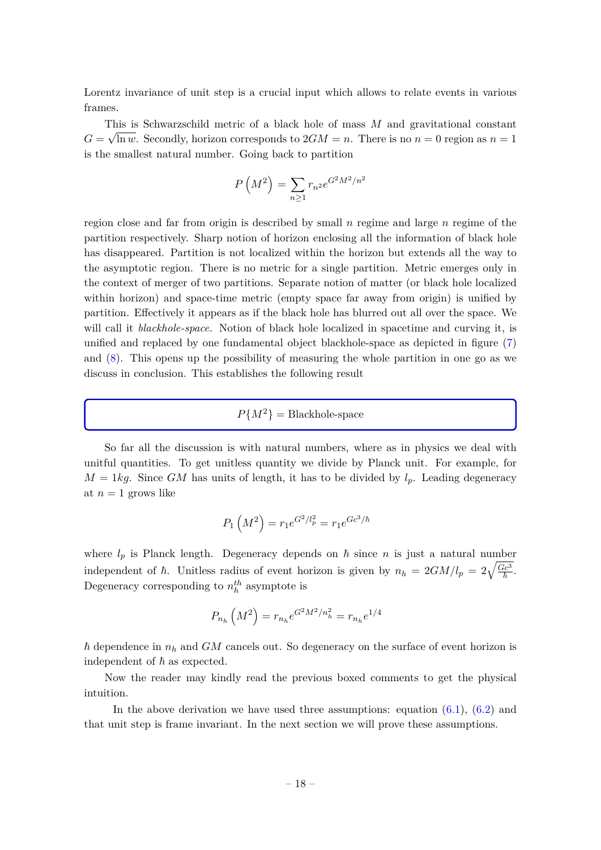Lorentz invariance of unit step is a crucial input which allows to relate events in various frames.

This is Schwarzschild metric of a black hole of mass *M* and gravitational constant  $G = \sqrt{\ln w}$ . Secondly, horizon corresponds to  $2GM = n$ . There is no  $n = 0$  region as  $n = 1$ is the smallest natural number. Going back to partition

$$
P\left(M^2\right) = \sum_{n\geq 1} r_{n^2} e^{G^2 M^2/n^2}
$$

region close and far from origin is described by small *n* regime and large *n* regime of the partition respectively. Sharp notion of horizon enclosing all the information of black hole has disappeared. Partition is not localized within the horizon but extends all the way to the asymptotic region. There is no metric for a single partition. Metric emerges only in the context of merger of two partitions. Separate notion of matter (or black hole localized within horizon) and space-time metric (empty space far away from origin) is unified by partition. Effectively it appears as if the black hole has blurred out all over the space. We will call it *blackhole-space.* Notion of black hole localized in spacetime and curving it, is unified and replaced by one fundamental object blackhole-space as depicted in figure [\(7\)](#page-19-1) and [\(8\)](#page-19-2). This opens up the possibility of measuring the whole partition in one go as we discuss in conclusion. This establishes the following result

$$
P\{M^2\} = Blackhole-space
$$

So far all the discussion is with natural numbers, where as in physics we deal with unitful quantities. To get unitless quantity we divide by Planck unit. For example, for  $M = 1kg$ . Since *GM* has units of length, it has to be divided by  $l_p$ . Leading degeneracy at  $n=1$  grows like

$$
P_1\left(M^2\right) = r_1 e^{G^2/l_p^2} = r_1 e^{Gc^3/\hbar}
$$

where  $l_p$  is Planck length. Degeneracy depends on  $\hbar$  since  $n$  is just a natural number independent of  $\hbar$ . Unitless radius of event horizon is given by  $n_h = 2GM/l_p = 2\sqrt{\frac{Gc^3}{\hbar}}$ . Degeneracy corresponding to  $n_h^{th}$  asymptote is

$$
P_{n_h}\left(M^2\right) = r_{n_h}e^{G^2M^2/n_h^2} = r_{n_h}e^{1/4}
$$

 $\hbar$  dependence in  $n_h$  and  $GM$  cancels out. So degeneracy on the surface of event horizon is independent of  $\hbar$  as expected.

Now the reader may kindly read the previous boxed comments to get the physical intuition.

In the above derivation we have used three assumptions: equation  $(6.1)$ ,  $(6.2)$  and that unit step is frame invariant. In the next section we will prove these assumptions.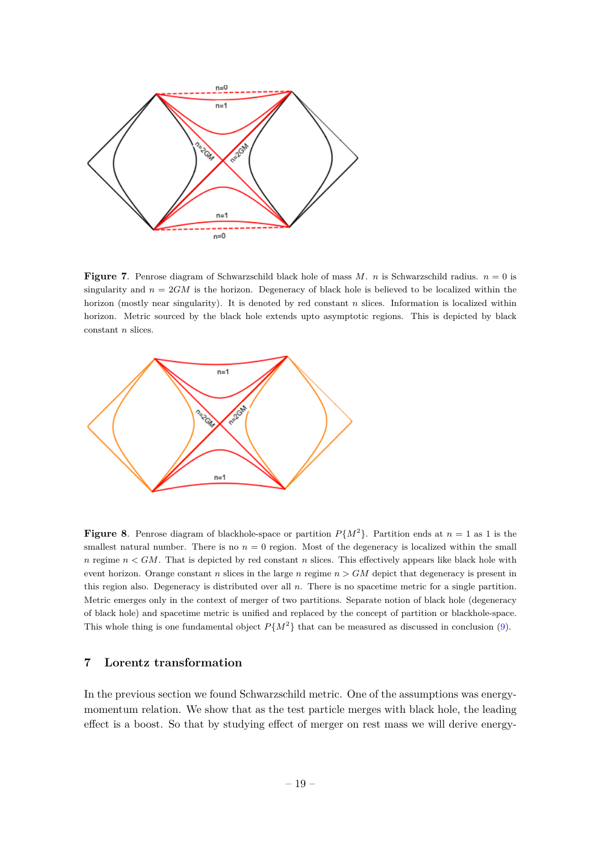

<span id="page-19-1"></span>**Figure 7**. Penrose diagram of Schwarzschild black hole of mass *M*. *n* is Schwarzschild radius. *n* = 0 is singularity and  $n = 2GM$  is the horizon. Degeneracy of black hole is believed to be localized within the horizon (mostly near singularity). It is denoted by red constant *n* slices. Information is localized within horizon. Metric sourced by the black hole extends upto asymptotic regions. This is depicted by black constant *n* slices.



<span id="page-19-2"></span>**Figure 8**. Penrose diagram of blackhole-space or partition  $P\{M^2\}$ . Partition ends at  $n = 1$  as 1 is the smallest natural number. There is no  $n = 0$  region. Most of the degeneracy is localized within the small *n* regime *n < GM*. That is depicted by red constant *n* slices. This effectively appears like black hole with event horizon. Orange constant *n* slices in the large *n* regime *n > GM* depict that degeneracy is present in this region also. Degeneracy is distributed over all *n*. There is no spacetime metric for a single partition. Metric emerges only in the context of merger of two partitions. Separate notion of black hole (degeneracy of black hole) and spacetime metric is unified and replaced by the concept of partition or blackhole-space. This whole thing is one fundamental object  $P{M^2}$  that can be measured as discussed in conclusion [\(9\)](#page-27-0).

## <span id="page-19-0"></span>**7 Lorentz transformation**

In the previous section we found Schwarzschild metric. One of the assumptions was energymomentum relation. We show that as the test particle merges with black hole, the leading effect is a boost. So that by studying effect of merger on rest mass we will derive energy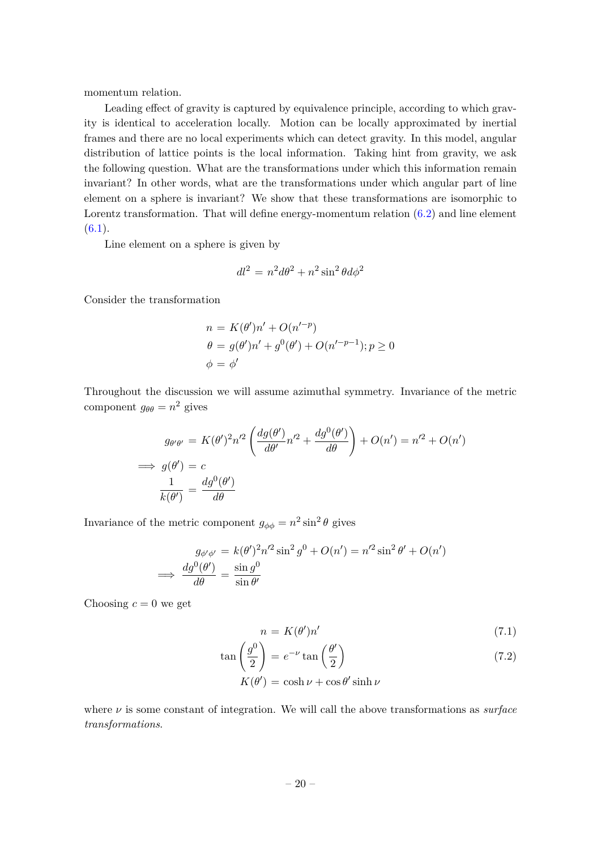momentum relation.

Leading effect of gravity is captured by equivalence principle, according to which gravity is identical to acceleration locally. Motion can be locally approximated by inertial frames and there are no local experiments which can detect gravity. In this model, angular distribution of lattice points is the local information. Taking hint from gravity, we ask the following question. What are the transformations under which this information remain invariant? In other words, what are the transformations under which angular part of line element on a sphere is invariant? We show that these transformations are isomorphic to Lorentz transformation. That will define energy-momentum relation  $(6.2)$  and line element  $(6.1).$  $(6.1).$ 

Line element on a sphere is given by

$$
dl^2 = n^2 d\theta^2 + n^2 \sin^2 \theta d\phi^2
$$

Consider the transformation

$$
n = K(\theta')n' + O(n'^{-p})
$$
  
\n
$$
\theta = g(\theta')n' + g^{0}(\theta') + O(n'^{-p-1}); p \ge 0
$$
  
\n
$$
\phi = \phi'
$$

Throughout the discussion we will assume azimuthal symmetry. Invariance of the metric component  $g_{\theta\theta} = n^2$  gives

$$
g_{\theta'\theta'} = K(\theta')^2 n'^2 \left( \frac{dg(\theta')}{d\theta'} n'^2 + \frac{dg^0(\theta')}{d\theta} \right) + O(n') = n'^2 + O(n')
$$
  
\n
$$
\implies g(\theta') = c
$$
  
\n
$$
\frac{1}{k(\theta')} = \frac{dg^0(\theta')}{d\theta}
$$

Invariance of the metric component  $g_{\phi\phi} = n^2 \sin^2 \theta$  gives

$$
g_{\phi'\phi'} = k(\theta')^2 n'^2 \sin^2 g^0 + O(n') = n'^2 \sin^2 \theta' + O(n')
$$
  

$$
\implies \frac{dg^0(\theta')}{d\theta} = \frac{\sin g^0}{\sin \theta'}
$$

Choosing  $c = 0$  we get

<span id="page-20-0"></span>
$$
n = K(\theta')n'
$$
\n(7.1)

$$
\tan\left(\frac{g^0}{2}\right) = e^{-\nu}\tan\left(\frac{\theta'}{2}\right) \tag{7.2}
$$

$$
K(\theta') = \cosh \nu + \cos \theta' \sinh \nu
$$

where *ν* is some constant of integration. We will call the above transformations as *surface transformations*.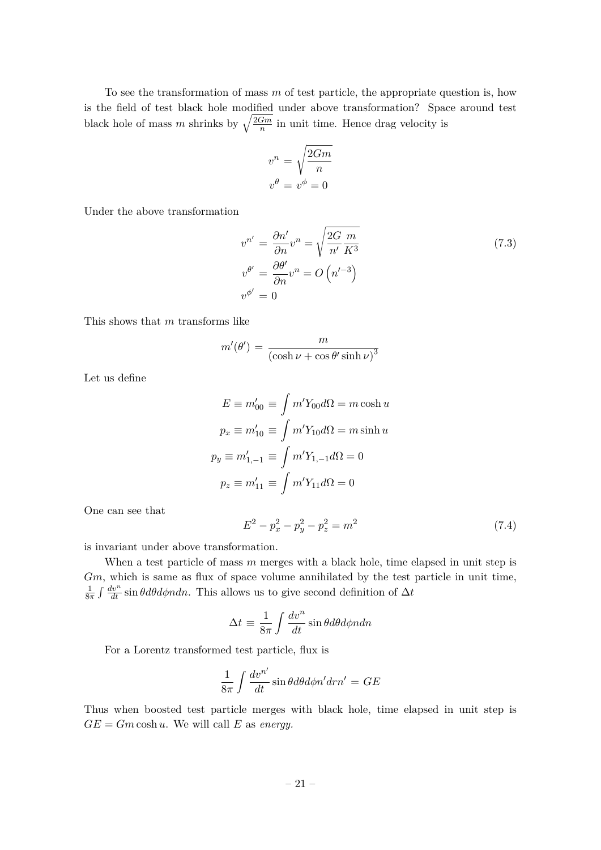To see the transformation of mass *m* of test particle, the appropriate question is, how is the field of test black hole modified under above transformation? Space around test black hole of mass m shrinks by  $\sqrt{\frac{2Gm}{n}}$  $\frac{2m}{n}$  in unit time. Hence drag velocity is

$$
v^n = \sqrt{\frac{2Gm}{n}}
$$

$$
v^{\theta} = v^{\phi} = 0
$$

Under the above transformation

$$
v^{n'} = \frac{\partial n'}{\partial n} v^n = \sqrt{\frac{2G}{n'} \frac{m}{K^3}}
$$
  
\n
$$
v^{\theta'} = \frac{\partial \theta'}{\partial n} v^n = O\left(n'^{-3}\right)
$$
  
\n
$$
v^{\phi'} = 0
$$
\n(7.3)

This shows that *m* transforms like

$$
m'(\theta') = \frac{m}{\left(\cosh \nu + \cos \theta' \sinh \nu\right)^3}
$$

Let us define

$$
E \equiv m'_{00} \equiv \int m'Y_{00}d\Omega = m \cosh u
$$

$$
p_x \equiv m'_{10} \equiv \int m'Y_{10}d\Omega = m \sinh u
$$

$$
p_y \equiv m'_{1,-1} \equiv \int m'Y_{1,-1}d\Omega = 0
$$

$$
p_z \equiv m'_{11} \equiv \int m'Y_{11}d\Omega = 0
$$

One can see that

<span id="page-21-0"></span>
$$
E^2 - p_x^2 - p_y^2 - p_z^2 = m^2 \tag{7.4}
$$

is invariant under above transformation.

When a test particle of mass *m* merges with a black hole, time elapsed in unit step is *Gm*, which is same as flux of space volume annihilated by the test particle in unit time, 1  $\frac{1}{8\pi} \int \frac{dv^n}{dt} \sin \theta d\theta d\phi n d\theta$ . This allows us to give second definition of  $\Delta t$ 

$$
\Delta t \equiv \frac{1}{8\pi} \int \frac{dv^n}{dt} \sin\theta d\theta d\phi n dn
$$

For a Lorentz transformed test particle, flux is

$$
\frac{1}{8\pi} \int \frac{dv^{n'}}{dt} \sin\theta d\theta d\phi n' dr n' = GE
$$

Thus when boosted test particle merges with black hole, time elapsed in unit step is  $GE = Gm \cosh u$ . We will call *E* as *energy*.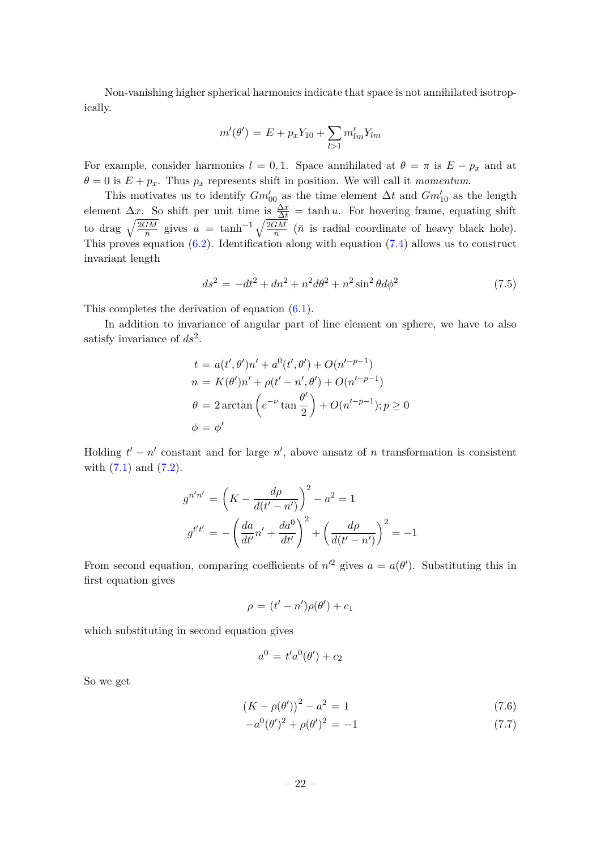Non-vanishing higher spherical harmonics indicate that space is not annihilated isotropically.

$$
m'(\theta') = E + p_x Y_{10} + \sum_{l>1} m'_{lm} Y_{lm}
$$

For example, consider harmonics  $l = 0, 1$ . Space annihilated at  $\theta = \pi$  is  $E - p_x$  and at  $\theta = 0$  is  $E + p_x$ . Thus  $p_x$  represents shift in position. We will call it *momentum*.

This motivates us to identify  $Gm'_{00}$  as the time element  $\Delta t$  and  $Gm'_{10}$  as the length element  $\Delta x$ . So shift per unit time is  $\frac{\Delta x}{\Delta t} = \tanh u$ . For hovering frame, equating shift to drag  $\sqrt{\frac{2GM}{\bar{p}}}$  $\frac{\widetilde{GM}}{\bar{n}}$  gives  $u = \tanh^{-1} \sqrt{\frac{2GM}{\bar{n}}}$  $\frac{2M}{\bar{n}}$  ( $\bar{n}$  is radial coordinate of heavy black hole). This proves equation [\(6.2\)](#page-17-3). Identification along with equation [\(7.4\)](#page-21-0) allows us to construct invariant length

$$
ds^{2} = -dt^{2} + dn^{2} + n^{2}d\theta^{2} + n^{2}\sin^{2}\theta d\phi^{2}
$$
\n(7.5)

This completes the derivation of equation [\(6.1\)](#page-17-0).

In addition to invariance of angular part of line element on sphere, we have to also satisfy invariance of *ds*<sup>2</sup> .

$$
t = a(t', \theta')n' + a^{0}(t', \theta') + O(n'^{-p-1})
$$
  
\n
$$
n = K(\theta')n' + \rho(t' - n', \theta') + O(n'^{-p-1})
$$
  
\n
$$
\theta = 2 \arctan\left(e^{-\nu}\tan\frac{\theta'}{2}\right) + O(n'^{-p-1}); p \ge 0
$$
  
\n
$$
\phi = \phi'
$$

Holding  $t' - n'$  constant and for large  $n'$ , above ansatz of *n* transformation is consistent with  $(7.1)$  and  $(7.2)$ .

$$
g^{n'n'} = \left(K - \frac{d\rho}{d(t' - n')}\right)^2 - a^2 = 1
$$

$$
g^{t't'} = -\left(\frac{da}{dt'}n' + \frac{da^0}{dt'}\right)^2 + \left(\frac{d\rho}{d(t' - n')}\right)^2 = -1
$$

From second equation, comparing coefficients of  $n'^2$  gives  $a = a(\theta')$ . Substituting this in first equation gives

$$
\rho = (t'-n')\rho(\theta') + c_1
$$

which substituting in second equation gives

$$
a^0 = t'a^0(\theta') + c_2
$$

So we get

<span id="page-22-0"></span>
$$
(K - \rho(\theta'))^2 - a^2 = 1\tag{7.6}
$$

$$
-a^{0}(\theta')^{2} + \rho(\theta')^{2} = -1
$$
\n(7.7)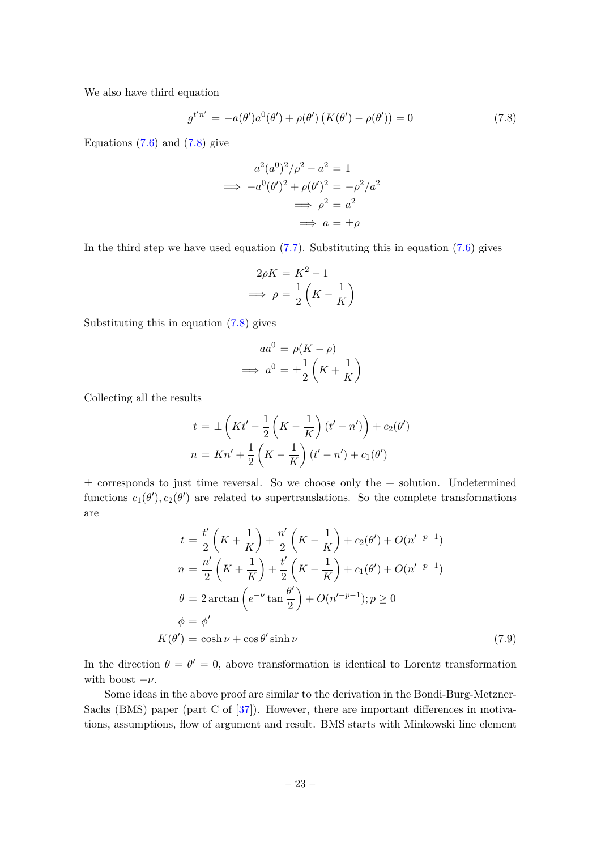We also have third equation

<span id="page-23-0"></span>
$$
g^{t'n'} = -a(\theta')a^0(\theta') + \rho(\theta')\left(K(\theta') - \rho(\theta')\right) = 0
$$
\n(7.8)

Equations  $(7.6)$  and  $(7.8)$  give

$$
a^{2}(a^{0})^{2}/\rho^{2} - a^{2} = 1
$$
  
\n
$$
\implies -a^{0}(\theta')^{2} + \rho(\theta')^{2} = -\rho^{2}/a^{2}
$$
  
\n
$$
\implies \rho^{2} = a^{2}
$$
  
\n
$$
\implies a = \pm \rho
$$

In the third step we have used equation  $(7.7)$ . Substituting this in equation  $(7.6)$  gives

$$
2\rho K = K^2 - 1
$$

$$
\implies \rho = \frac{1}{2} \left( K - \frac{1}{K} \right)
$$

Substituting this in equation [\(7.8\)](#page-23-0) gives

$$
aa^{0} = \rho(K - \rho)
$$

$$
\implies a^{0} = \pm \frac{1}{2} \left( K + \frac{1}{K} \right)
$$

Collecting all the results

$$
t = \pm \left( Kt' - \frac{1}{2} \left( K - \frac{1}{K} \right) (t' - n') \right) + c_2(\theta')
$$
  

$$
n = Kn' + \frac{1}{2} \left( K - \frac{1}{K} \right) (t' - n') + c_1(\theta')
$$

 $\pm$  corresponds to just time reversal. So we choose only the  $+$  solution. Undetermined functions  $c_1(\theta'), c_2(\theta')$  are related to supertranslations. So the complete transformations are

$$
t = \frac{t'}{2} \left( K + \frac{1}{K} \right) + \frac{n'}{2} \left( K - \frac{1}{K} \right) + c_2(\theta') + O(n'^{-p-1})
$$
  
\n
$$
n = \frac{n'}{2} \left( K + \frac{1}{K} \right) + \frac{t'}{2} \left( K - \frac{1}{K} \right) + c_1(\theta') + O(n'^{-p-1})
$$
  
\n
$$
\theta = 2 \arctan \left( e^{-\nu} \tan \frac{\theta'}{2} \right) + O(n'^{-p-1}); p \ge 0
$$
  
\n
$$
\phi = \phi'
$$
  
\n
$$
K(\theta') = \cosh \nu + \cos \theta' \sinh \nu
$$
\n(7.9)

In the direction  $\theta = \theta' = 0$ , above transformation is identical to Lorentz transformation with boost  $-\nu$ .

Some ideas in the above proof are similar to the derivation in the Bondi-Burg-Metzner-Sachs (BMS) paper (part C of [\[37\]](#page-32-7)). However, there are important differences in motivations, assumptions, flow of argument and result. BMS starts with Minkowski line element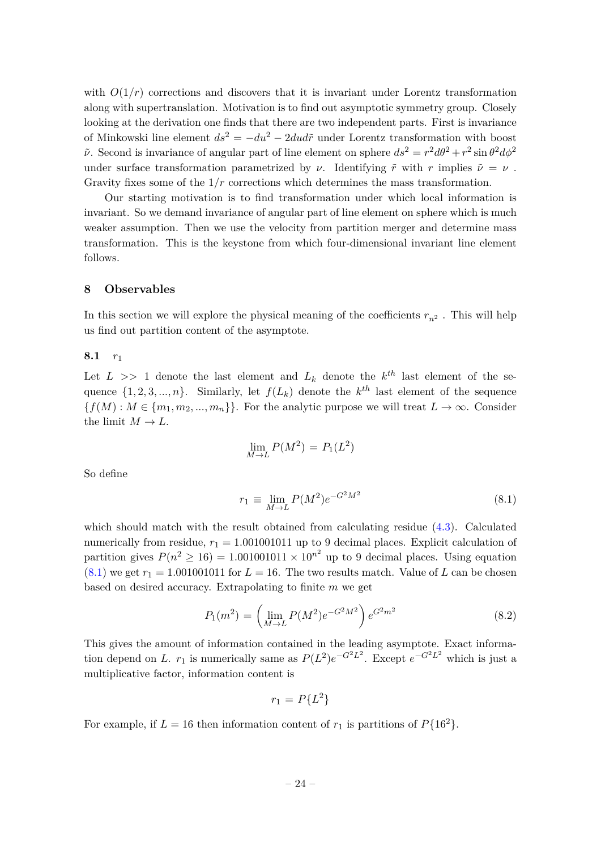with  $O(1/r)$  corrections and discovers that it is invariant under Lorentz transformation along with supertranslation. Motivation is to find out asymptotic symmetry group. Closely looking at the derivation one finds that there are two independent parts. First is invariance of Minkowski line element  $ds^2 = -du^2 - 2du d\tilde{r}$  under Lorentz transformation with boost  $\tilde{\nu}$ . Second is invariance of angular part of line element on sphere  $ds^2 = r^2 d\theta^2 + r^2 \sin \theta^2 d\phi^2$ under surface transformation parametrized by *ν*. Identifying  $\tilde{r}$  with *r* implies  $\tilde{\nu} = \nu$ . Gravity fixes some of the 1*/r* corrections which determines the mass transformation.

Our starting motivation is to find transformation under which local information is invariant. So we demand invariance of angular part of line element on sphere which is much weaker assumption. Then we use the velocity from partition merger and determine mass transformation. This is the keystone from which four-dimensional invariant line element follows.

#### <span id="page-24-0"></span>**8 Observables**

In this section we will explore the physical meaning of the coefficients  $r_{n^2}$ . This will help us find out partition content of the asymptote.

#### **8.1** *r*<sup>1</sup>

Let  $L \gg 1$  denote the last element and  $L_k$  denote the  $k^{th}$  last element of the sequence  $\{1, 2, 3, \ldots, n\}$ . Similarly, let  $f(L_k)$  denote the  $k^{th}$  last element of the sequence  ${f}(M): M \in \{m_1, m_2, ..., m_n\}$ . For the analytic purpose we will treat  $L \to \infty$ . Consider the limit  $M \to L$ .

$$
\lim_{M \to L} P(M^2) = P_1(L^2)
$$

So define

<span id="page-24-1"></span>
$$
r_1 \equiv \lim_{M \to L} P(M^2) e^{-G^2 M^2}
$$
\n(8.1)

which should match with the result obtained from calculating residue [\(4.3\)](#page-8-0). Calculated numerically from residue,  $r_1 = 1.001001011$  up to 9 decimal places. Explicit calculation of partition gives  $P(n^2 \ge 16) = 1.001001011 \times 10^{n^2}$  up to 9 decimal places. Using equation  $(8.1)$  we get  $r_1 = 1.001001011$  for  $L = 16$ . The two results match. Value of L can be chosen based on desired accuracy. Extrapolating to finite *m* we get

<span id="page-24-2"></span>
$$
P_1(m^2) = \left(\lim_{M \to L} P(M^2) e^{-G^2 M^2}\right) e^{G^2 m^2}
$$
\n(8.2)

This gives the amount of information contained in the leading asymptote. Exact information depend on *L*.  $r_1$  is numerically same as  $P(L^2)e^{-G^2L^2}$ . Except  $e^{-G^2L^2}$  which is just a multiplicative factor, information content is

$$
r_1 = P\{L^2\}
$$

For example, if  $L = 16$  then information content of  $r_1$  is partitions of  $P\{16^2\}$ .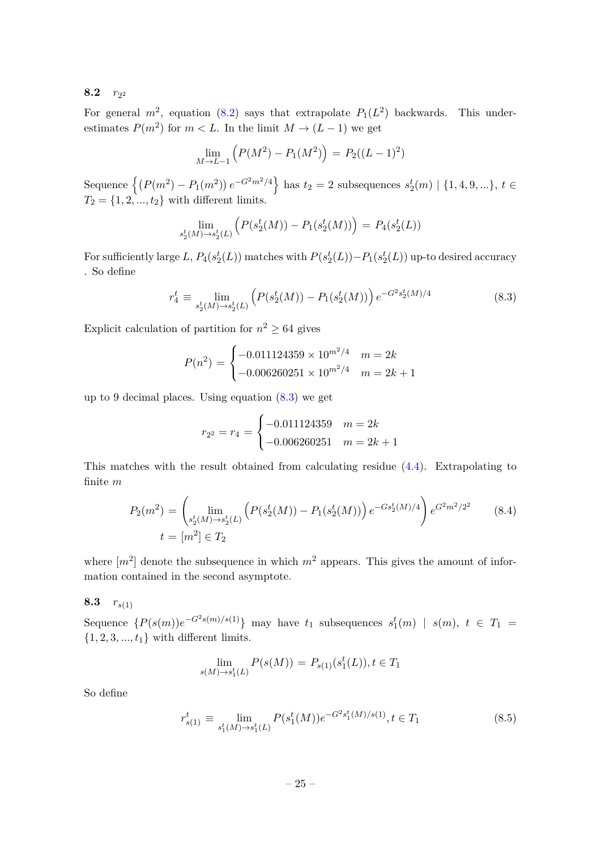# **8.2**  $r_{2^2}$

For general  $m^2$ , equation [\(8.2\)](#page-24-2) says that extrapolate  $P_1(L^2)$  backwards. This underestimates  $P(m^2)$  for  $m < L$ . In the limit  $M \to (L-1)$  we get

$$
\lim_{M \to L-1} \left( P(M^2) - P_1(M^2) \right) = P_2((L-1)^2)
$$

 $\mathcal{L}\left\{P(m^2) - P_1(m^2)\right\}e^{-G^2m^2/4}\right\}$  has  $t_2 = 2$  subsequences  $s_2^t(m) \mid \{1, 4, 9, ...\}, t \in \mathbb{R}$  $T_2 = \{1, 2, ..., t_2\}$  with different limits.

$$
\lim_{s_2^t(M) \to s_2^t(L)} \left( P(s_2^t(M)) - P_1(s_2^t(M)) \right) = P_4(s_2^t(L))
$$

For sufficiently large *L*,  $P_4(s_2^t(L))$  matches with  $P(s_2^t(L)) - P_1(s_2^t(L))$  up-to desired accuracy . So define

<span id="page-25-0"></span>
$$
r_4^t \equiv \lim_{s_2^t(M) \to s_2^t(L)} \left( P(s_2^t(M)) - P_1(s_2^t(M)) \right) e^{-G^2 s_2^t(M)/4}
$$
(8.3)

Explicit calculation of partition for  $n^2 \geq 64$  gives

$$
P(n^2) = \begin{cases} -0.011124359 \times 10^{m^2/4} & m = 2k \\ -0.006260251 \times 10^{m^2/4} & m = 2k + 1 \end{cases}
$$

up to 9 decimal places. Using equation [\(8.3\)](#page-25-0) we get

$$
r_{2^2} = r_4 = \begin{cases} -0.011124359 & m = 2k \\ -0.006260251 & m = 2k + 1 \end{cases}
$$

This matches with the result obtained from calculating residue [\(4.4\)](#page-9-0). Extrapolating to finite *m*

$$
P_2(m^2) = \left(\lim_{s_2^t(M) \to s_2^t(L)} \left( P(s_2^t(M)) - P_1(s_2^t(M)) \right) e^{-Gs_2^t(M)/4} \right) e^{G^2 m^2/2^2}
$$
 (8.4)  

$$
t = [m^2] \in T_2
$$

where  $[m^2]$  denote the subsequence in which  $m^2$  appears. This gives the amount of information contained in the second asymptote.

# **8.3**  $r_{s(1)}$

Sequence  $\{P(s(m))e^{-G^2s(m)/s(1)}\}$  may have  $t_1$  subsequences  $s_1^t(m)$  |  $s(m)$ ,  $t \in T_1$  =  $\{1, 2, 3, ..., t_1\}$  with different limits.

$$
\lim_{s(M)\to s_1^t(L)} P(s(M)) = P_{s(1)}(s_1^t(L)), t \in T_1
$$

So define

<span id="page-25-1"></span>
$$
r_{s(1)}^t \equiv \lim_{s_1^t(M) \to s_1^t(L)} P(s_1^t(M)) e^{-G^2 s_1^t(M)/s(1)}, t \in T_1
$$
\n(8.5)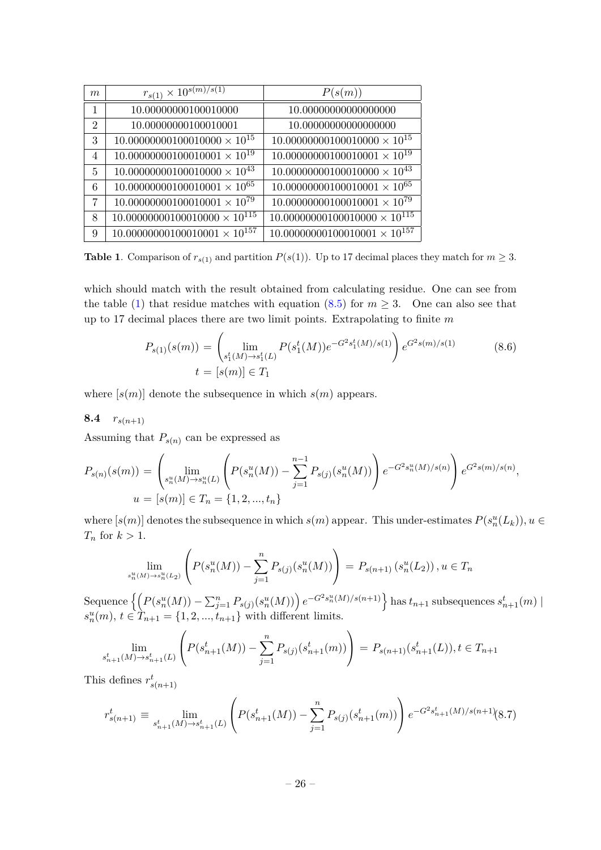| m              | $r_{s(1)} \times 10^{s(m)/s(1)}$       | P(s(m))                                |
|----------------|----------------------------------------|----------------------------------------|
| $\mathbf{1}$   | 10.00000000100010000                   | 10.00000000000000000                   |
| $\overline{2}$ | 10.00000000100010001                   | 10.00000000000000000                   |
| 3              | $10.00000000100010000 \times 10^{15}$  | $10.00000000100010000 \times 10^{15}$  |
| $\overline{4}$ | $10.00000000100010001 \times 10^{19}$  | $10.00000000100010001 \times 10^{19}$  |
| 5              | $10.00000000100010000 \times 10^{43}$  | $10.00000000100010000 \times 10^{43}$  |
| 6              | $10.00000000100010001 \times 10^{65}$  | $10.00000000100010001 \times 10^{65}$  |
| 7              | $10.00000000100010001 \times 10^{79}$  | $10.00000000100010001 \times 10^{79}$  |
| 8              | $10.00000000100010000 \times 10^{115}$ | $10.00000000100010000 \times 10^{115}$ |
| 9              | $10.00000000100010001 \times 10^{157}$ | $10.00000000100010001 \times 10^{157}$ |

<span id="page-26-0"></span>**Table 1**. Comparison of  $r_{s(1)}$  and partition  $P(s(1))$ . Up to 17 decimal places they match for  $m \geq 3$ .

which should match with the result obtained from calculating residue. One can see from the table [\(1\)](#page-26-0) that residue matches with equation  $(8.5)$  for  $m > 3$ . One can also see that up to 17 decimal places there are two limit points. Extrapolating to finite *m*

$$
P_{s(1)}(s(m)) = \left(\lim_{\substack{s_1^t(M) \to s_1^t(L) \\ t = [s(m)] \in T_1}} P(s_1^t(M))e^{-G^2s_1^t(M)/s(1)}\right) e^{G^2s(m)/s(1)} \tag{8.6}
$$

where  $[s(m)]$  denote the subsequence in which  $s(m)$  appears.

8.4  $r_{s(n+1)}$ 

Assuming that  $P_{s(n)}$  can be expressed as

$$
P_{s(n)}(s(m)) = \left(\lim_{s_n^u(M) \to s_n^u(L)} \left( P(s_n^u(M)) - \sum_{j=1}^{n-1} P_{s(j)}(s_n^u(M)) \right) e^{-G^2 s_n^u(M)/s(n)} \right) e^{G^2 s(m)/s(n)},
$$
  

$$
u = [s(m)] \in T_n = \{1, 2, ..., t_n\}
$$

where  $[s(m)]$  denotes the subsequence in which  $s(m)$  appear. This under-estimates  $P(s_n^u(L_k))$ ,  $u \in$ *T<sup>n</sup>* for *k >* 1.

$$
\lim_{s_n^u(M) \to s_n^u(L_2)} \left( P(s_n^u(M)) - \sum_{j=1}^n P_{s(j)}(s_n^u(M)) \right) = P_{s(n+1)}(s_n^u(L_2)), u \in T_n
$$

Sequence  $\left\{\left(P(s_n^u(M))-\sum_{j=1}^nP_{s(j)}(s_n^u(M))\right)e^{-G^2s_n^u(M)/s(n+1)}\right\}$  has  $t_{n+1}$  subsequences  $s_{n+1}^t(m)$  |  $s_n^u(m)$ ,  $t \in T_{n+1} = \{1, 2, ..., t_{n+1}\}$  with different limits.

$$
\lim_{s_{n+1}^t(M)\to s_{n+1}^t(L)} \left( P(s_{n+1}^t(M)) - \sum_{j=1}^n P_{s(j)}(s_{n+1}^t(m)) \right) = P_{s(n+1)}(s_{n+1}^t(L)), t \in T_{n+1}
$$

This defines  $r_{s(n+1)}^t$ 

<span id="page-26-1"></span>
$$
r_{s(n+1)}^t \equiv \lim_{s_{n+1}^t(M) \to s_{n+1}^t(L)} \left( P(s_{n+1}^t(M)) - \sum_{j=1}^n P_{s(j)}(s_{n+1}^t(m)) \right) e^{-G^2 s_{n+1}^t(M)/s(n+1)} (8.7)
$$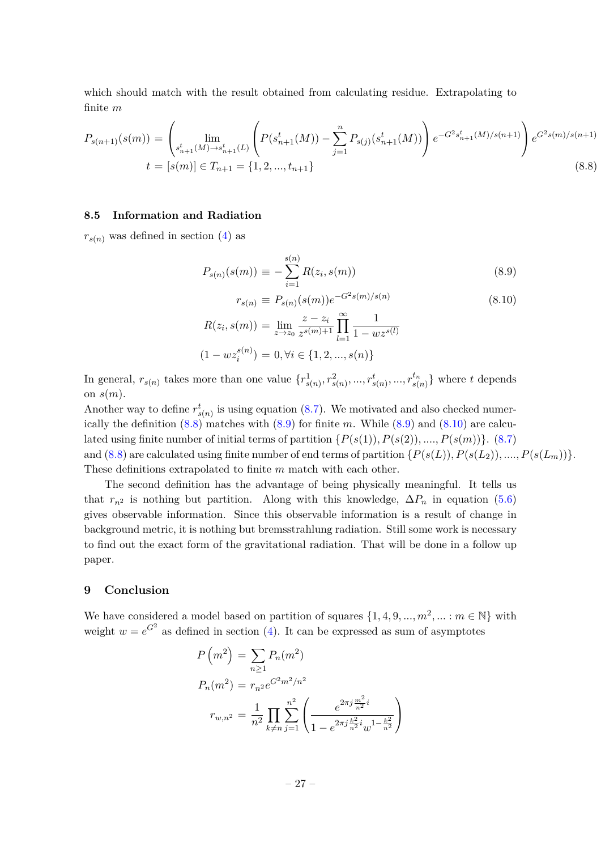which should match with the result obtained from calculating residue. Extrapolating to finite *m*

<span id="page-27-1"></span>
$$
P_{s(n+1)}(s(m)) = \left(\lim_{\substack{s_{n+1}^t(M) \to s_{n+1}^t(L)}} \left( P(s_{n+1}^t(M)) - \sum_{j=1}^n P_{s(j)}(s_{n+1}^t(M)) \right) e^{-G^2 s_{n+1}^t(M)/s(n+1)} \right) e^{G^2 s(m)/s(n+1)}
$$
  

$$
t = [s(m)] \in T_{n+1} = \{1, 2, ..., t_{n+1}\}
$$
 (8.8)

#### **8.5 Information and Radiation**

 $r_{s(n)}$  was defined in section [\(4\)](#page-7-0) as

<span id="page-27-2"></span>
$$
P_{s(n)}(s(m)) \equiv -\sum_{i=1}^{s(n)} R(z_i, s(m)) \tag{8.9}
$$

$$
r_{s(n)} \equiv P_{s(n)}(s(m))e^{-G^2 s(m)/s(n)}
$$
(8.10)  

$$
R(z_i, s(m)) = \lim_{z \to z_0} \frac{z - z_i}{z^{s(m)+1}} \prod_{l=1}^{\infty} \frac{1}{1 - wz^{s(l)}}
$$
  

$$
(1 - wz_i^{s(n)}) = 0, \forall i \in \{1, 2, ..., s(n)\}
$$

In general,  $r_{s(n)}$  takes more than one value  $\{r_{s(n)}^1, r_{s(n)}^2, ..., r_{s(n)}^{t_n}, ..., r_{s(n)}^{t_n}\}$  where t depends on *s*(*m*).

Another way to define  $r_{s(n)}^t$  is using equation [\(8.7\)](#page-26-1). We motivated and also checked numerically the definition [\(8.8\)](#page-27-1) matches with [\(8.9\)](#page-27-2) for finite *m*. While [\(8.9\)](#page-27-2) and [\(8.10\)](#page-27-2) are calculated using finite number of initial terms of partition  $\{P(s(1)), P(s(2)), \ldots, P(s(m))\}$ . [\(8.7\)](#page-26-1) and  $(8.8)$  are calculated using finite number of end terms of partition  $\{P(s(L)), P(s(L_2)), \ldots, P(s(L_m))\}.$ These definitions extrapolated to finite *m* match with each other.

The second definition has the advantage of being physically meaningful. It tells us that  $r_{n^2}$  is nothing but partition. Along with this knowledge,  $\Delta P_n$  in equation [\(5.6\)](#page-12-2) gives observable information. Since this observable information is a result of change in background metric, it is nothing but bremsstrahlung radiation. Still some work is necessary to find out the exact form of the gravitational radiation. That will be done in a follow up paper.

#### <span id="page-27-0"></span>**9 Conclusion**

We have considered a model based on partition of squares  $\{1, 4, 9, ..., m^2, ... : m \in \mathbb{N}\}\$  with weight  $w = e^{G^2}$  as defined in section [\(4\)](#page-7-0). It can be expressed as sum of asymptotes

$$
P(m^2) = \sum_{n\geq 1} P_n(m^2)
$$
  
\n
$$
P_n(m^2) = r_{n^2} e^{G^2 m^2/n^2}
$$
  
\n
$$
r_{w,n^2} = \frac{1}{n^2} \prod_{k\neq n} \sum_{j=1}^{n^2} \left( \frac{e^{2\pi j \frac{m^2}{n^2} i}}{1 - e^{2\pi j \frac{k^2}{n^2} i} w^{1 - \frac{k^2}{n^2}}} \right)
$$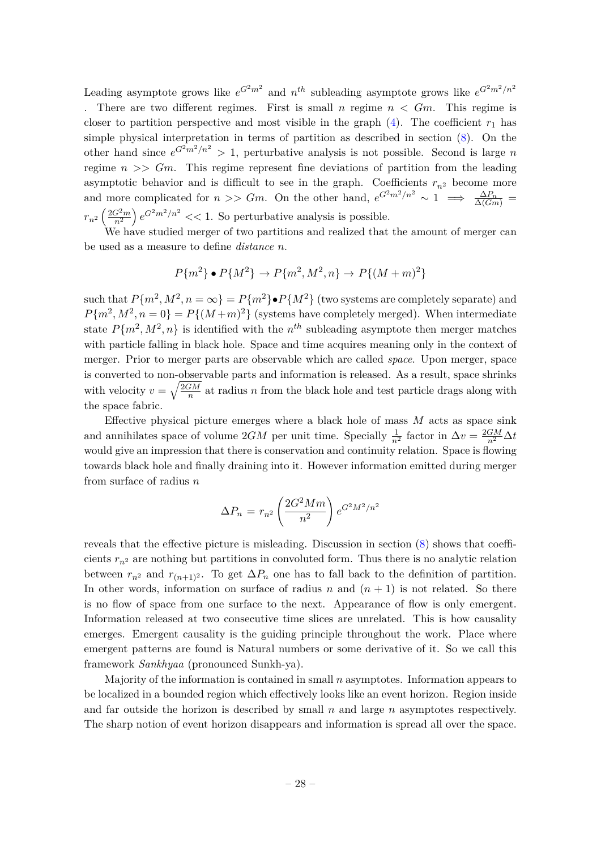Leading asymptote grows like  $e^{G^2m^2}$  and  $n^{th}$  subleading asymptote grows like  $e^{G^2m^2/n^2}$ . There are two different regimes. First is small *n* regime  $n < Gm$ . This regime is closer to partition perspective and most visible in the graph  $(4)$ . The coefficient  $r_1$  has simple physical interpretation in terms of partition as described in section [\(8\)](#page-24-0). On the other hand since  $e^{G^2 m^2/n^2} > 1$ , perturbative analysis is not possible. Second is large *n* regime *n >> Gm*. This regime represent fine deviations of partition from the leading asymptotic behavior and is difficult to see in the graph. Coefficients  $r_{n^2}$  become more and more complicated for  $n >> Gm$ . On the other hand,  $e^{G^2 m^2/n^2} \sim 1 \implies \frac{\Delta P_n}{\Delta(Gm)}$  $r_{n^2} \left( \frac{2G^2m}{n^2} \right)$  $\left(\frac{G^2m}{n^2}\right)e^{G^2m^2/n^2}$  << 1. So perturbative analysis is possible.

We have studied merger of two partitions and realized that the amount of merger can be used as a measure to define *distance n*.

$$
P{m2} \bullet P{M2} \to P{m2, M2, n} \to P{(M+m)2}
$$

such that  $P{m^2, M^2, n = \infty} = P{m^2 \cdot P{M^2}$  (two systems are completely separate) and  $P{m^2, M^2, n = 0} = P{(M+m)^2}$  (systems have completely merged). When intermediate state  $P{m^2, M^2, n}$  is identified with the  $n^{th}$  subleading asymptote then merger matches with particle falling in black hole. Space and time acquires meaning only in the context of merger. Prior to merger parts are observable which are called *space*. Upon merger, space is converted to non-observable parts and information is released. As a result, space shrinks with velocity  $v = \sqrt{\frac{2GM}{n}}$  $\frac{M}{n}$  at radius *n* from the black hole and test particle drags along with the space fabric.

Effective physical picture emerges where a black hole of mass *M* acts as space sink and annihilates space of volume  $2GM$  per unit time. Specially  $\frac{1}{n^2}$  factor in  $\Delta v = \frac{2GM}{n^2} \Delta t$ would give an impression that there is conservation and continuity relation. Space is flowing towards black hole and finally draining into it. However information emitted during merger from surface of radius *n*

$$
\Delta P_n = r_{n^2} \left(\frac{2G^2 M m}{n^2}\right) e^{G^2 M^2/n^2}
$$

reveals that the effective picture is misleading. Discussion in section [\(8\)](#page-24-0) shows that coefficients  $r_{n^2}$  are nothing but partitions in convoluted form. Thus there is no analytic relation between  $r_{n^2}$  and  $r_{(n+1)^2}$ . To get  $\Delta P_n$  one has to fall back to the definition of partition. In other words, information on surface of radius  $n$  and  $(n + 1)$  is not related. So there is no flow of space from one surface to the next. Appearance of flow is only emergent. Information released at two consecutive time slices are unrelated. This is how causality emerges. Emergent causality is the guiding principle throughout the work. Place where emergent patterns are found is Natural numbers or some derivative of it. So we call this framework *Sankhyaa* (pronounced Sunkh-ya).

Majority of the information is contained in small *n* asymptotes. Information appears to be localized in a bounded region which effectively looks like an event horizon. Region inside and far outside the horizon is described by small *n* and large *n* asymptotes respectively. The sharp notion of event horizon disappears and information is spread all over the space.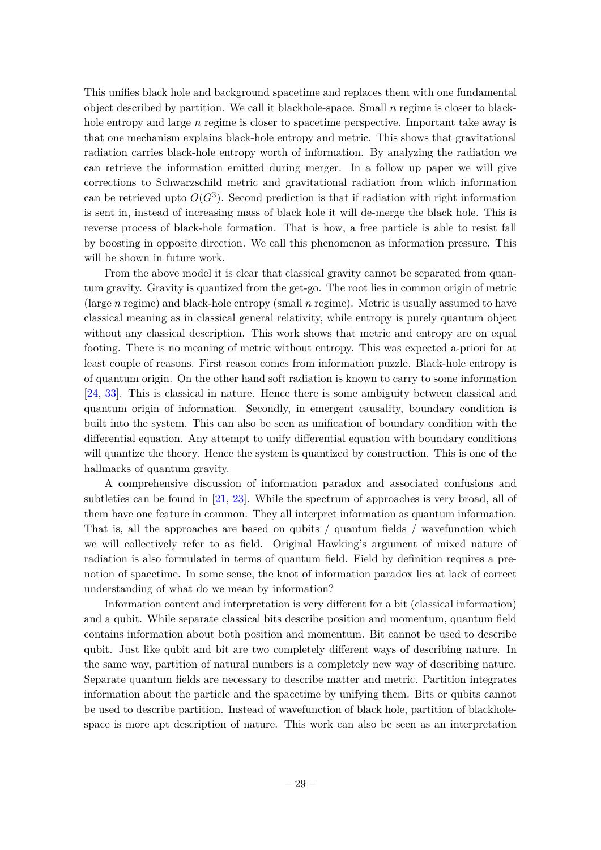This unifies black hole and background spacetime and replaces them with one fundamental object described by partition. We call it blackhole-space. Small *n* regime is closer to blackhole entropy and large *n* regime is closer to spacetime perspective. Important take away is that one mechanism explains black-hole entropy and metric. This shows that gravitational radiation carries black-hole entropy worth of information. By analyzing the radiation we can retrieve the information emitted during merger. In a follow up paper we will give corrections to Schwarzschild metric and gravitational radiation from which information can be retrieved upto  $O(G^3)$ . Second prediction is that if radiation with right information is sent in, instead of increasing mass of black hole it will de-merge the black hole. This is reverse process of black-hole formation. That is how, a free particle is able to resist fall by boosting in opposite direction. We call this phenomenon as information pressure. This will be shown in future work.

From the above model it is clear that classical gravity cannot be separated from quantum gravity. Gravity is quantized from the get-go. The root lies in common origin of metric (large *n* regime) and black-hole entropy (small *n* regime). Metric is usually assumed to have classical meaning as in classical general relativity, while entropy is purely quantum object without any classical description. This work shows that metric and entropy are on equal footing. There is no meaning of metric without entropy. This was expected a-priori for at least couple of reasons. First reason comes from information puzzle. Black-hole entropy is of quantum origin. On the other hand soft radiation is known to carry to some information [\[24,](#page-31-13) [33\]](#page-32-3). This is classical in nature. Hence there is some ambiguity between classical and quantum origin of information. Secondly, in emergent causality, boundary condition is built into the system. This can also be seen as unification of boundary condition with the differential equation. Any attempt to unify differential equation with boundary conditions will quantize the theory. Hence the system is quantized by construction. This is one of the hallmarks of quantum gravity.

A comprehensive discussion of information paradox and associated confusions and subtleties can be found in [\[21,](#page-31-10) [23\]](#page-31-11). While the spectrum of approaches is very broad, all of them have one feature in common. They all interpret information as quantum information. That is, all the approaches are based on qubits / quantum fields / wavefunction which we will collectively refer to as field. Original Hawking's argument of mixed nature of radiation is also formulated in terms of quantum field. Field by definition requires a prenotion of spacetime. In some sense, the knot of information paradox lies at lack of correct understanding of what do we mean by information?

Information content and interpretation is very different for a bit (classical information) and a qubit. While separate classical bits describe position and momentum, quantum field contains information about both position and momentum. Bit cannot be used to describe qubit. Just like qubit and bit are two completely different ways of describing nature. In the same way, partition of natural numbers is a completely new way of describing nature. Separate quantum fields are necessary to describe matter and metric. Partition integrates information about the particle and the spacetime by unifying them. Bits or qubits cannot be used to describe partition. Instead of wavefunction of black hole, partition of blackholespace is more apt description of nature. This work can also be seen as an interpretation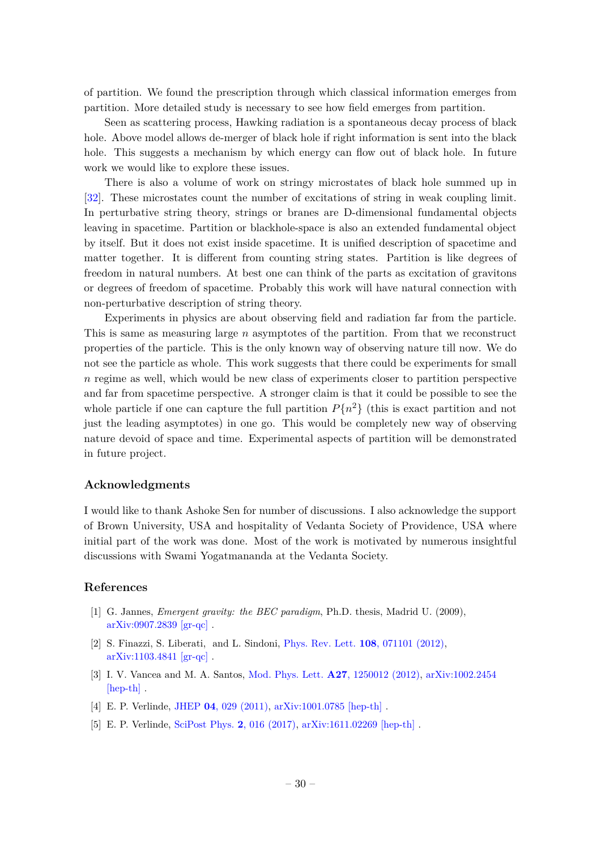of partition. We found the prescription through which classical information emerges from partition. More detailed study is necessary to see how field emerges from partition.

Seen as scattering process, Hawking radiation is a spontaneous decay process of black hole. Above model allows de-merger of black hole if right information is sent into the black hole. This suggests a mechanism by which energy can flow out of black hole. In future work we would like to explore these issues.

There is also a volume of work on stringy microstates of black hole summed up in [\[32\]](#page-32-2). These microstates count the number of excitations of string in weak coupling limit. In perturbative string theory, strings or branes are D-dimensional fundamental objects leaving in spacetime. Partition or blackhole-space is also an extended fundamental object by itself. But it does not exist inside spacetime. It is unified description of spacetime and matter together. It is different from counting string states. Partition is like degrees of freedom in natural numbers. At best one can think of the parts as excitation of gravitons or degrees of freedom of spacetime. Probably this work will have natural connection with non-perturbative description of string theory.

Experiments in physics are about observing field and radiation far from the particle. This is same as measuring large *n* asymptotes of the partition. From that we reconstruct properties of the particle. This is the only known way of observing nature till now. We do not see the particle as whole. This work suggests that there could be experiments for small *n* regime as well, which would be new class of experiments closer to partition perspective and far from spacetime perspective. A stronger claim is that it could be possible to see the whole particle if one can capture the full partition  $P{n^2}$  (this is exact partition and not just the leading asymptotes) in one go. This would be completely new way of observing nature devoid of space and time. Experimental aspects of partition will be demonstrated in future project.

## **Acknowledgments**

I would like to thank Ashoke Sen for number of discussions. I also acknowledge the support of Brown University, USA and hospitality of Vedanta Society of Providence, USA where initial part of the work was done. Most of the work is motivated by numerous insightful discussions with Swami Yogatmananda at the Vedanta Society.

#### **References**

- <span id="page-30-0"></span>[1] G. Jannes, *Emergent gravity: the BEC paradigm*, Ph.D. thesis, Madrid U. (2009), [arXiv:0907.2839 \[gr-qc\]](http://arxiv.org/abs/0907.2839) .
- <span id="page-30-1"></span>[2] S. Finazzi, S. Liberati, and L. Sindoni, [Phys. Rev. Lett.](http://dx.doi.org/10.1103/PhysRevLett.108.071101) **108**, 071101 (2012), [arXiv:1103.4841 \[gr-qc\]](http://arxiv.org/abs/1103.4841) .
- <span id="page-30-2"></span>[3] I. V. Vancea and M. A. Santos, [Mod. Phys. Lett.](http://dx.doi.org/10.1142/S0217732312500125) **A27**, 1250012 (2012), [arXiv:1002.2454](http://arxiv.org/abs/1002.2454) [\[hep-th\]](http://arxiv.org/abs/1002.2454) .
- [4] E. P. Verlinde, JHEP **04**[, 029 \(2011\),](http://dx.doi.org/10.1007/JHEP04(2011)029) [arXiv:1001.0785 \[hep-th\]](http://arxiv.org/abs/1001.0785) .
- <span id="page-30-3"></span>[5] E. P. Verlinde, [SciPost Phys.](http://dx.doi.org/10.21468/SciPostPhys.2.3.016) **2**, 016 (2017), [arXiv:1611.02269 \[hep-th\]](http://arxiv.org/abs/1611.02269) .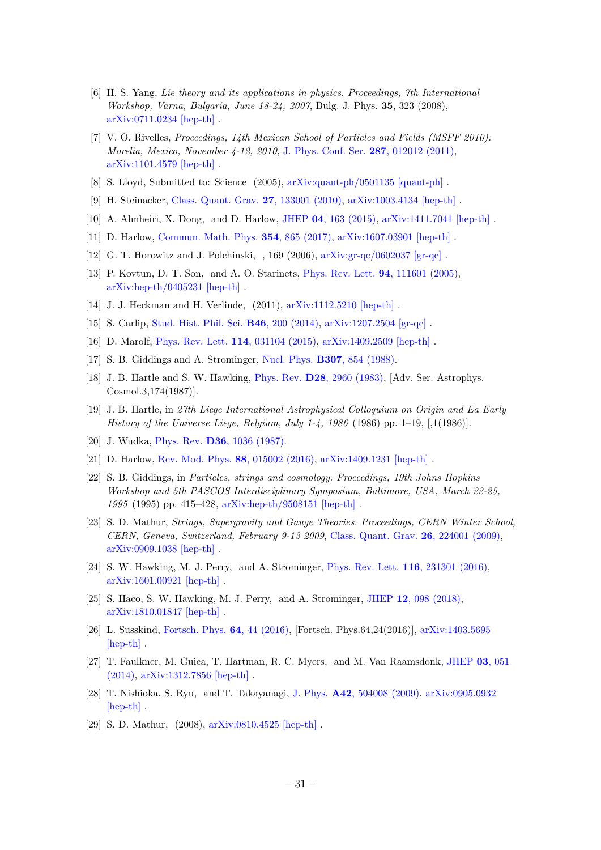- <span id="page-31-0"></span>[6] H. S. Yang, *Lie theory and its applications in physics. Proceedings, 7th International Workshop, Varna, Bulgaria, June 18-24, 2007*, Bulg. J. Phys. **35**, 323 (2008), [arXiv:0711.0234 \[hep-th\]](http://arxiv.org/abs/0711.0234) .
- <span id="page-31-1"></span>[7] V. O. Rivelles, *Proceedings, 14th Mexican School of Particles and Fields (MSPF 2010): Morelia, Mexico, November 4-12, 2010*, [J. Phys. Conf. Ser.](http://dx.doi.org/ 10.1088/1742-6596/287/1/012012) **287**, 012012 (2011), [arXiv:1101.4579 \[hep-th\]](http://arxiv.org/abs/1101.4579) .
- <span id="page-31-2"></span>[8] S. Lloyd, Submitted to: Science (2005), [arXiv:quant-ph/0501135 \[quant-ph\]](http://arxiv.org/abs/quant-ph/0501135) .
- <span id="page-31-3"></span>[9] H. Steinacker, [Class. Quant. Grav.](http://dx.doi.org/10.1088/0264-9381/27/13/133001) **27**, 133001 (2010), [arXiv:1003.4134 \[hep-th\]](http://arxiv.org/abs/1003.4134) .
- <span id="page-31-4"></span>[10] A. Almheiri, X. Dong, and D. Harlow, JHEP **04**[, 163 \(2015\),](http://dx.doi.org/10.1007/JHEP04(2015)163) [arXiv:1411.7041 \[hep-th\]](http://arxiv.org/abs/1411.7041) .
- [11] D. Harlow, [Commun. Math. Phys.](http://dx.doi.org/10.1007/s00220-017-2904-z) **354**, 865 (2017), [arXiv:1607.03901 \[hep-th\]](http://arxiv.org/abs/1607.03901) .
- <span id="page-31-12"></span>[12] G. T. Horowitz and J. Polchinski, , 169 (2006), [arXiv:gr-qc/0602037 \[gr-qc\]](http://arxiv.org/abs/gr-qc/0602037) .
- <span id="page-31-5"></span>[13] P. Kovtun, D. T. Son, and A. O. Starinets, [Phys. Rev. Lett.](http://dx.doi.org/10.1103/PhysRevLett.94.111601) **94**, 111601 (2005), [arXiv:hep-th/0405231 \[hep-th\]](http://arxiv.org/abs/hep-th/0405231) .
- <span id="page-31-6"></span>[14] J. J. Heckman and H. Verlinde, (2011), [arXiv:1112.5210 \[hep-th\]](http://arxiv.org/abs/1112.5210).
- [15] S. Carlip, [Stud. Hist. Phil. Sci.](http://dx.doi.org/10.1016/j.shpsb.2012.11.002) **B46**, 200 (2014), [arXiv:1207.2504 \[gr-qc\]](http://arxiv.org/abs/1207.2504) .
- <span id="page-31-7"></span>[16] D. Marolf, [Phys. Rev. Lett.](http://dx.doi.org/10.1103/PhysRevLett.114.031104) **114**, 031104 (2015), [arXiv:1409.2509 \[hep-th\]](http://arxiv.org/abs/1409.2509) .
- <span id="page-31-8"></span>[17] S. B. Giddings and A. Strominger, Nucl. Phys. **B307**[, 854 \(1988\).](http://dx.doi.org/10.1016/0550-3213(88)90109-5)
- [18] J. B. Hartle and S. W. Hawking, Phys. Rev. **D28**[, 2960 \(1983\),](http://dx.doi.org/10.1103/PhysRevD.28.2960) [Adv. Ser. Astrophys. Cosmol.3,174(1987)].
- [19] J. B. Hartle, in *27th Liege International Astrophysical Colloquium on Origin and Ea Early History of the Universe Liege, Belgium, July 1-4, 1986* (1986) pp. 1–19, [,1(1986)].
- <span id="page-31-9"></span>[20] J. Wudka, Phys. Rev. **D36**[, 1036 \(1987\).](http://dx.doi.org/10.1103/PhysRevD.36.1036)
- <span id="page-31-10"></span>[21] D. Harlow, [Rev. Mod. Phys.](http://dx.doi.org/10.1103/RevModPhys.88.015002) **88**, 015002 (2016), [arXiv:1409.1231 \[hep-th\]](http://arxiv.org/abs/1409.1231) .
- [22] S. B. Giddings, in *Particles, strings and cosmology. Proceedings, 19th Johns Hopkins Workshop and 5th PASCOS Interdisciplinary Symposium, Baltimore, USA, March 22-25, 1995* (1995) pp. 415–428, [arXiv:hep-th/9508151 \[hep-th\]](http://arxiv.org/abs/hep-th/9508151) .
- <span id="page-31-11"></span>[23] S. D. Mathur, *Strings, Supergravity and Gauge Theories. Proceedings, CERN Winter School, CERN, Geneva, Switzerland, February 9-13 2009*, [Class. Quant. Grav.](http://dx.doi.org/ 10.1088/0264-9381/26/22/224001) **26**, 224001 (2009), [arXiv:0909.1038 \[hep-th\]](http://arxiv.org/abs/0909.1038) .
- <span id="page-31-13"></span>[24] S. W. Hawking, M. J. Perry, and A. Strominger, [Phys. Rev. Lett.](http://dx.doi.org/10.1103/PhysRevLett.116.231301) **116**, 231301 (2016), [arXiv:1601.00921 \[hep-th\]](http://arxiv.org/abs/1601.00921) .
- <span id="page-31-14"></span>[25] S. Haco, S. W. Hawking, M. J. Perry, and A. Strominger, JHEP **12**[, 098 \(2018\),](http://dx.doi.org/10.1007/JHEP12(2018)098) [arXiv:1810.01847 \[hep-th\]](http://arxiv.org/abs/1810.01847) .
- <span id="page-31-15"></span>[26] L. Susskind, [Fortsch. Phys.](http://dx.doi.org/10.1002/prop.201500093, 10.1002/prop.201500092) **64**, 44 (2016), [Fortsch. Phys.64,24(2016)], [arXiv:1403.5695](http://arxiv.org/abs/1403.5695) [\[hep-th\]](http://arxiv.org/abs/1403.5695) .
- [27] T. Faulkner, M. Guica, T. Hartman, R. C. Myers, and M. Van Raamsdonk, [JHEP](http://dx.doi.org/ 10.1007/JHEP03(2014)051) **03**, 051 [\(2014\),](http://dx.doi.org/ 10.1007/JHEP03(2014)051) [arXiv:1312.7856 \[hep-th\]](http://arxiv.org/abs/1312.7856) .
- [28] T. Nishioka, S. Ryu, and T. Takayanagi, J. Phys. **A42**[, 504008 \(2009\),](http://dx.doi.org/10.1088/1751-8113/42/50/504008) [arXiv:0905.0932](http://arxiv.org/abs/0905.0932) [\[hep-th\]](http://arxiv.org/abs/0905.0932) .
- [29] S. D. Mathur, (2008), [arXiv:0810.4525 \[hep-th\]](http://arxiv.org/abs/0810.4525) .